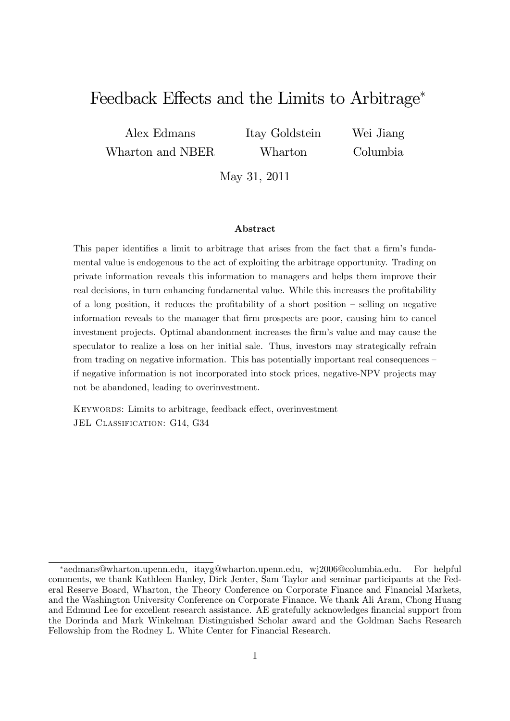## Feedback Effects and the Limits to Arbitrage<sup>\*</sup>

Alex Edmans Wharton and NBER Itay Goldstein Wharton

Wei Jiang Columbia

May 31, 2011

#### Abstract

This paper identifies a limit to arbitrage that arises from the fact that a firm's fundamental value is endogenous to the act of exploiting the arbitrage opportunity. Trading on private information reveals this information to managers and helps them improve their real decisions, in turn enhancing fundamental value. While this increases the profitability of a long position, it reduces the profitability of a short position  $-$  selling on negative information reveals to the manager that Örm prospects are poor, causing him to cancel investment projects. Optimal abandonment increases the firm's value and may cause the speculator to realize a loss on her initial sale. Thus, investors may strategically refrain from trading on negative information. This has potentially important real consequences  $-\frac{1}{2}$ if negative information is not incorporated into stock prices, negative-NPV projects may not be abandoned, leading to overinvestment.

KEYWORDS: Limits to arbitrage, feedback effect, overinvestment JEL CLASSIFICATION: G14, G34

aedmans@wharton.upenn.edu, itayg@wharton.upenn.edu, wj2006@columbia.edu. For helpful comments, we thank Kathleen Hanley, Dirk Jenter, Sam Taylor and seminar participants at the Federal Reserve Board, Wharton, the Theory Conference on Corporate Finance and Financial Markets, and the Washington University Conference on Corporate Finance. We thank Ali Aram, Chong Huang and Edmund Lee for excellent research assistance. AE gratefully acknowledges financial support from the Dorinda and Mark Winkelman Distinguished Scholar award and the Goldman Sachs Research Fellowship from the Rodney L. White Center for Financial Research.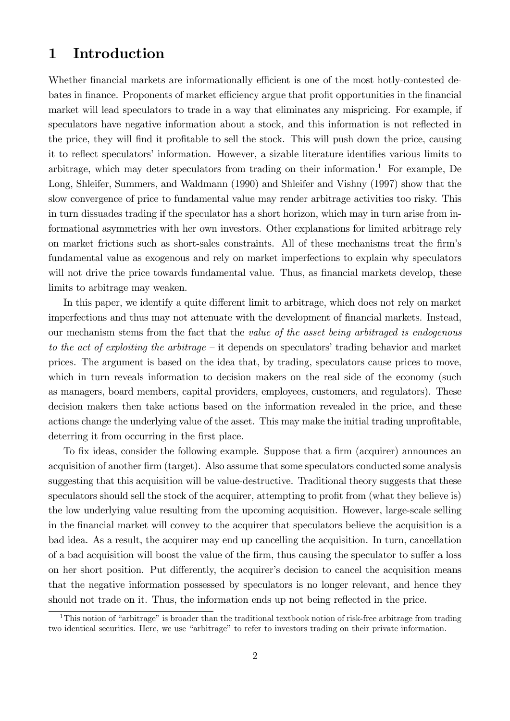### 1 Introduction

Whether financial markets are informationally efficient is one of the most hotly-contested debates in finance. Proponents of market efficiency argue that profit opportunities in the financial market will lead speculators to trade in a way that eliminates any mispricing. For example, if speculators have negative information about a stock, and this information is not reflected in the price, they will find it profitable to sell the stock. This will push down the price, causing it to reflect speculators' information. However, a sizable literature identifies various limits to arbitrage, which may deter speculators from trading on their information.<sup>1</sup> For example, De Long, Shleifer, Summers, and Waldmann (1990) and Shleifer and Vishny (1997) show that the slow convergence of price to fundamental value may render arbitrage activities too risky. This in turn dissuades trading if the speculator has a short horizon, which may in turn arise from informational asymmetries with her own investors. Other explanations for limited arbitrage rely on market frictions such as short-sales constraints. All of these mechanisms treat the firm's fundamental value as exogenous and rely on market imperfections to explain why speculators will not drive the price towards fundamental value. Thus, as financial markets develop, these limits to arbitrage may weaken.

In this paper, we identify a quite different limit to arbitrage, which does not rely on market imperfections and thus may not attenuate with the development of financial markets. Instead, our mechanism stems from the fact that the value of the asset being arbitraged is endogenous to the act of exploiting the arbitrage – it depends on speculators' trading behavior and market prices. The argument is based on the idea that, by trading, speculators cause prices to move, which in turn reveals information to decision makers on the real side of the economy (such as managers, board members, capital providers, employees, customers, and regulators). These decision makers then take actions based on the information revealed in the price, and these actions change the underlying value of the asset. This may make the initial trading unprofitable, deterring it from occurring in the first place.

To fix ideas, consider the following example. Suppose that a firm (acquirer) announces an acquisition of another firm (target). Also assume that some speculators conducted some analysis suggesting that this acquisition will be value-destructive. Traditional theory suggests that these speculators should sell the stock of the acquirer, attempting to profit from (what they believe is) the low underlying value resulting from the upcoming acquisition. However, large-scale selling in the Önancial market will convey to the acquirer that speculators believe the acquisition is a bad idea. As a result, the acquirer may end up cancelling the acquisition. In turn, cancellation of a bad acquisition will boost the value of the firm, thus causing the speculator to suffer a loss on her short position. Put differently, the acquirer's decision to cancel the acquisition means that the negative information possessed by speculators is no longer relevant, and hence they should not trade on it. Thus, the information ends up not being reflected in the price.

<sup>&</sup>lt;sup>1</sup>This notion of "arbitrage" is broader than the traditional textbook notion of risk-free arbitrage from trading two identical securities. Here, we use "arbitrage" to refer to investors trading on their private information.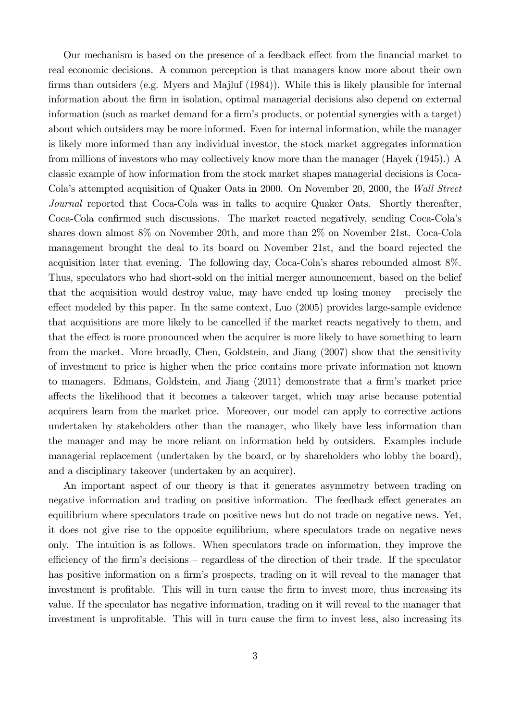Our mechanism is based on the presence of a feedback effect from the financial market to real economic decisions. A common perception is that managers know more about their own firms than outsiders (e.g. Myers and Majluf  $(1984)$ ). While this is likely plausible for internal information about the Örm in isolation, optimal managerial decisions also depend on external information (such as market demand for a firm's products, or potential synergies with a target) about which outsiders may be more informed. Even for internal information, while the manager is likely more informed than any individual investor, the stock market aggregates information from millions of investors who may collectively know more than the manager (Hayek (1945).) A classic example of how information from the stock market shapes managerial decisions is Coca-Colaís attempted acquisition of Quaker Oats in 2000. On November 20, 2000, the Wall Street Journal reported that Coca-Cola was in talks to acquire Quaker Oats. Shortly thereafter, Coca-Cola confirmed such discussions. The market reacted negatively, sending Coca-Cola's shares down almost 8% on November 20th, and more than 2% on November 21st. Coca-Cola management brought the deal to its board on November 21st, and the board rejected the acquisition later that evening. The following day, Coca-Colaís shares rebounded almost 8%. Thus, speculators who had short-sold on the initial merger announcement, based on the belief that the acquisition would destroy value, may have ended up losing money  $-$  precisely the effect modeled by this paper. In the same context, Luo (2005) provides large-sample evidence that acquisitions are more likely to be cancelled if the market reacts negatively to them, and that the effect is more pronounced when the acquirer is more likely to have something to learn from the market. More broadly, Chen, Goldstein, and Jiang (2007) show that the sensitivity of investment to price is higher when the price contains more private information not known to managers. Edmans, Goldstein, and Jiang (2011) demonstrate that a firm's market price a§ects the likelihood that it becomes a takeover target, which may arise because potential acquirers learn from the market price. Moreover, our model can apply to corrective actions undertaken by stakeholders other than the manager, who likely have less information than the manager and may be more reliant on information held by outsiders. Examples include managerial replacement (undertaken by the board, or by shareholders who lobby the board), and a disciplinary takeover (undertaken by an acquirer).

An important aspect of our theory is that it generates asymmetry between trading on negative information and trading on positive information. The feedback effect generates an equilibrium where speculators trade on positive news but do not trade on negative news. Yet, it does not give rise to the opposite equilibrium, where speculators trade on negative news only. The intuition is as follows. When speculators trade on information, they improve the efficiency of the firm's decisions  $-$  regardless of the direction of their trade. If the speculator has positive information on a firm's prospects, trading on it will reveal to the manager that investment is profitable. This will in turn cause the firm to invest more, thus increasing its value. If the speculator has negative information, trading on it will reveal to the manager that investment is unprofitable. This will in turn cause the firm to invest less, also increasing its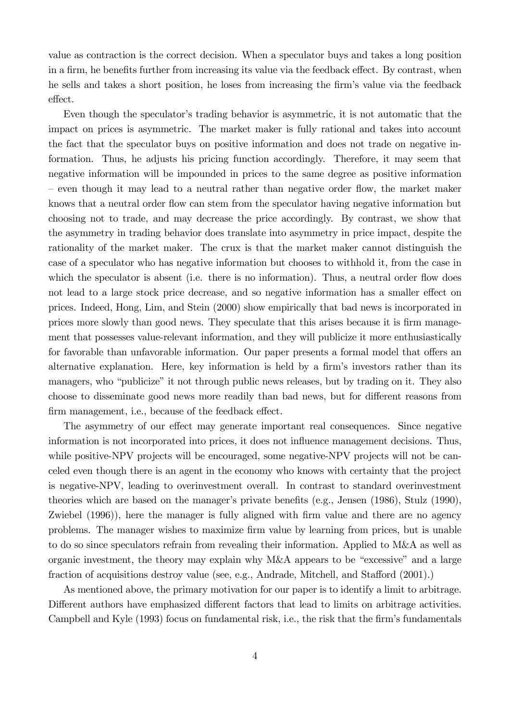value as contraction is the correct decision. When a speculator buys and takes a long position in a firm, he benefits further from increasing its value via the feedback effect. By contrast, when he sells and takes a short position, he loses from increasing the firm's value via the feedback effect.

Even though the speculator's trading behavior is asymmetric, it is not automatic that the impact on prices is asymmetric. The market maker is fully rational and takes into account the fact that the speculator buys on positive information and does not trade on negative information. Thus, he adjusts his pricing function accordingly. Therefore, it may seem that negative information will be impounded in prices to the same degree as positive information – even though it may lead to a neutral rather than negative order flow, the market maker knows that a neutral order flow can stem from the speculator having negative information but choosing not to trade, and may decrease the price accordingly. By contrast, we show that the asymmetry in trading behavior does translate into asymmetry in price impact, despite the rationality of the market maker. The crux is that the market maker cannot distinguish the case of a speculator who has negative information but chooses to withhold it, from the case in which the speculator is absent (i.e. there is no information). Thus, a neutral order flow does not lead to a large stock price decrease, and so negative information has a smaller effect on prices. Indeed, Hong, Lim, and Stein (2000) show empirically that bad news is incorporated in prices more slowly than good news. They speculate that this arises because it is firm management that possesses value-relevant information, and they will publicize it more enthusiastically for favorable than unfavorable information. Our paper presents a formal model that offers an alternative explanation. Here, key information is held by a firm's investors rather than its managers, who "publicize" it not through public news releases, but by trading on it. They also choose to disseminate good news more readily than bad news, but for different reasons from firm management, i.e., because of the feedback effect.

The asymmetry of our effect may generate important real consequences. Since negative information is not incorporated into prices, it does not ináuence management decisions. Thus, while positive-NPV projects will be encouraged, some negative-NPV projects will not be canceled even though there is an agent in the economy who knows with certainty that the project is negative-NPV, leading to overinvestment overall. In contrast to standard overinvestment theories which are based on the manager's private benefits (e.g., Jensen  $(1986)$ , Stulz  $(1990)$ , Zwiebel (1996)), here the manager is fully aligned with firm value and there are no agency problems. The manager wishes to maximize Örm value by learning from prices, but is unable to do so since speculators refrain from revealing their information. Applied to M&A as well as organic investment, the theory may explain why M&A appears to be "excessive" and a large fraction of acquisitions destroy value (see, e.g., Andrade, Mitchell, and Stafford (2001).)

As mentioned above, the primary motivation for our paper is to identify a limit to arbitrage. Different authors have emphasized different factors that lead to limits on arbitrage activities. Campbell and Kyle (1993) focus on fundamental risk, i.e., the risk that the firm's fundamentals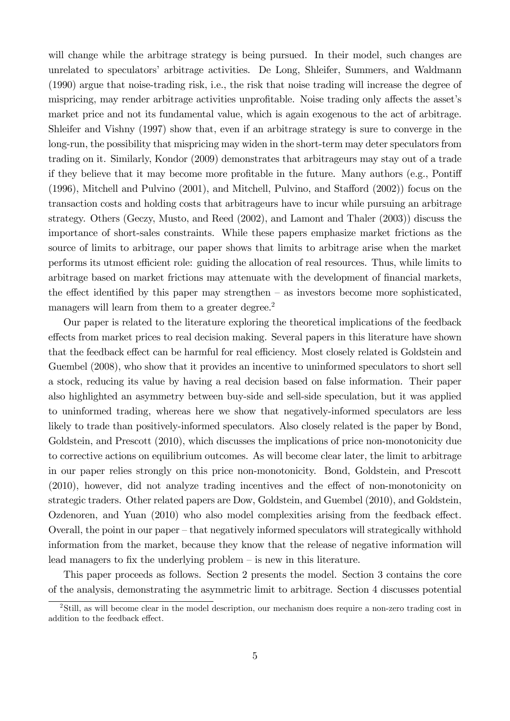will change while the arbitrage strategy is being pursued. In their model, such changes are unrelated to speculators' arbitrage activities. De Long, Shleifer, Summers, and Waldmann (1990) argue that noise-trading risk, i.e., the risk that noise trading will increase the degree of mispricing, may render arbitrage activities unprofitable. Noise trading only affects the asset's market price and not its fundamental value, which is again exogenous to the act of arbitrage. Shleifer and Vishny (1997) show that, even if an arbitrage strategy is sure to converge in the long-run, the possibility that mispricing may widen in the short-term may deter speculators from trading on it. Similarly, Kondor (2009) demonstrates that arbitrageurs may stay out of a trade if they believe that it may become more profitable in the future. Many authors (e.g., Pontiff  $(1996)$ , Mitchell and Pulvino  $(2001)$ , and Mitchell, Pulvino, and Stafford  $(2002)$ ) focus on the transaction costs and holding costs that arbitrageurs have to incur while pursuing an arbitrage strategy. Others (Geczy, Musto, and Reed (2002), and Lamont and Thaler (2003)) discuss the importance of short-sales constraints. While these papers emphasize market frictions as the source of limits to arbitrage, our paper shows that limits to arbitrage arise when the market performs its utmost efficient role: guiding the allocation of real resources. Thus, while limits to arbitrage based on market frictions may attenuate with the development of financial markets, the effect identified by this paper may strengthen  $-$  as investors become more sophisticated, managers will learn from them to a greater degree.<sup>2</sup>

Our paper is related to the literature exploring the theoretical implications of the feedback effects from market prices to real decision making. Several papers in this literature have shown that the feedback effect can be harmful for real efficiency. Most closely related is Goldstein and Guembel (2008), who show that it provides an incentive to uninformed speculators to short sell a stock, reducing its value by having a real decision based on false information. Their paper also highlighted an asymmetry between buy-side and sell-side speculation, but it was applied to uninformed trading, whereas here we show that negatively-informed speculators are less likely to trade than positively-informed speculators. Also closely related is the paper by Bond, Goldstein, and Prescott (2010), which discusses the implications of price non-monotonicity due to corrective actions on equilibrium outcomes. As will become clear later, the limit to arbitrage in our paper relies strongly on this price non-monotonicity. Bond, Goldstein, and Prescott  $(2010)$ , however, did not analyze trading incentives and the effect of non-monotonicity on strategic traders. Other related papers are Dow, Goldstein, and Guembel (2010), and Goldstein, Ozdenoren, and Yuan  $(2010)$  who also model complexities arising from the feedback effect. Overall, the point in our paper  $-\theta$  that negatively informed speculators will strategically withhold information from the market, because they know that the release of negative information will lead managers to fix the underlying problem  $-\text{is new in this literature.}$ 

This paper proceeds as follows. Section 2 presents the model. Section 3 contains the core of the analysis, demonstrating the asymmetric limit to arbitrage. Section 4 discusses potential

<sup>2</sup>Still, as will become clear in the model description, our mechanism does require a non-zero trading cost in addition to the feedback effect.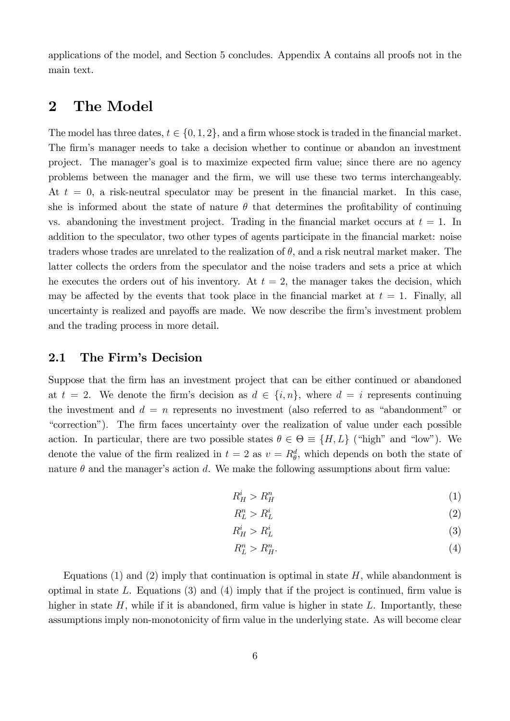applications of the model, and Section 5 concludes. Appendix A contains all proofs not in the main text.

### 2 The Model

The model has three dates,  $t \in \{0, 1, 2\}$ , and a firm whose stock is traded in the financial market. The firm's manager needs to take a decision whether to continue or abandon an investment project. The manager's goal is to maximize expected firm value; since there are no agency problems between the manager and the Örm, we will use these two terms interchangeably. At  $t = 0$ , a risk-neutral speculator may be present in the financial market. In this case, she is informed about the state of nature  $\theta$  that determines the profitability of continuing vs. abandoning the investment project. Trading in the financial market occurs at  $t = 1$ . In addition to the speculator, two other types of agents participate in the Önancial market: noise traders whose trades are unrelated to the realization of  $\theta$ , and a risk neutral market maker. The latter collects the orders from the speculator and the noise traders and sets a price at which he executes the orders out of his inventory. At  $t = 2$ , the manager takes the decision, which may be affected by the events that took place in the financial market at  $t = 1$ . Finally, all uncertainty is realized and payoffs are made. We now describe the firm's investment problem and the trading process in more detail.

#### 2.1 The Firm's Decision

Suppose that the firm has an investment project that can be either continued or abandoned at  $t = 2$ . We denote the firm's decision as  $d \in \{i, n\}$ , where  $d = i$  represents continuing the investment and  $d = n$  represents no investment (also referred to as "abandonment" or ìcorrectionî). The Örm faces uncertainty over the realization of value under each possible action. In particular, there are two possible states  $\theta \in \Theta \equiv \{H, L\}$  ("high" and "low"). We denote the value of the firm realized in  $t = 2$  as  $v = R_{\theta}^d$ , which depends on both the state of nature  $\theta$  and the manager's action d. We make the following assumptions about firm value:

$$
R_H^i > R_H^n \tag{1}
$$

$$
R_L^n > R_L^i \tag{2}
$$

$$
R_H^i > R_L^i \tag{3}
$$

$$
R_L^n > R_H^n. \tag{4}
$$

Equations  $(1)$  and  $(2)$  imply that continuation is optimal in state H, while abandonment is optimal in state L. Equations  $(3)$  and  $(4)$  imply that if the project is continued, firm value is higher in state  $H$ , while if it is abandoned, firm value is higher in state  $L$ . Importantly, these assumptions imply non-monotonicity of firm value in the underlying state. As will become clear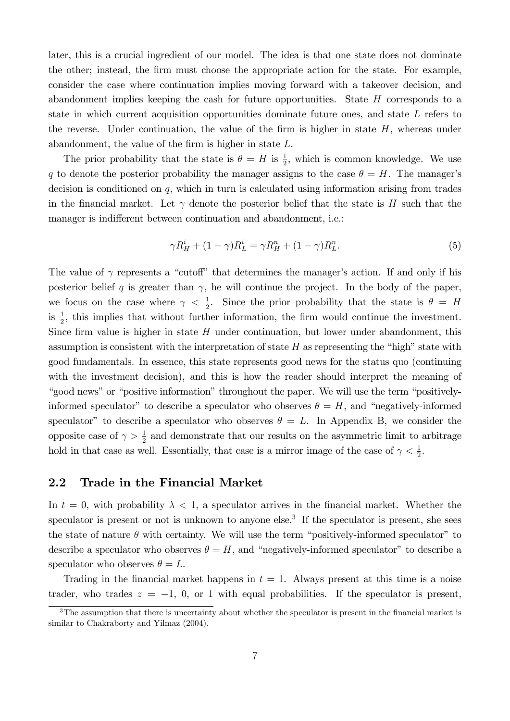later, this is a crucial ingredient of our model. The idea is that one state does not dominate the other; instead, the firm must choose the appropriate action for the state. For example, consider the case where continuation implies moving forward with a takeover decision, and abandonment implies keeping the cash for future opportunities. State  $H$  corresponds to a state in which current acquisition opportunities dominate future ones, and state L refers to the reverse. Under continuation, the value of the firm is higher in state  $H$ , whereas under abandonment, the value of the firm is higher in state  $L$ .

The prior probability that the state is  $\theta = H$  is  $\frac{1}{2}$ , which is common knowledge. We use q to denote the posterior probability the manager assigns to the case  $\theta = H$ . The manager's decision is conditioned on q, which in turn is calculated using information arising from trades in the financial market. Let  $\gamma$  denote the posterior belief that the state is H such that the manager is indifferent between continuation and abandonment, i.e.:

$$
\gamma R_H^i + (1 - \gamma) R_L^i = \gamma R_H^n + (1 - \gamma) R_L^n. \tag{5}
$$

The value of  $\gamma$  represents a "cutoff" that determines the manager's action. If and only if his posterior belief q is greater than  $\gamma$ , he will continue the project. In the body of the paper, we focus on the case where  $\gamma < \frac{1}{2}$ . Since the prior probability that the state is  $\theta = H$ is  $\frac{1}{2}$ , this implies that without further information, the firm would continue the investment. Since firm value is higher in state  $H$  under continuation, but lower under abandonment, this assumption is consistent with the interpretation of state  $H$  as representing the "high" state with good fundamentals. In essence, this state represents good news for the status quo (continuing with the investment decision), and this is how the reader should interpret the meaning of "good news" or "positive information" throughout the paper. We will use the term "positivelyinformed speculator" to describe a speculator who observes  $\theta = H$ , and "negatively-informed speculator" to describe a speculator who observes  $\theta = L$ . In Appendix B, we consider the opposite case of  $\gamma > \frac{1}{2}$  and demonstrate that our results on the asymmetric limit to arbitrage hold in that case as well. Essentially, that case is a mirror image of the case of  $\gamma < \frac{1}{2}$ .

#### 2.2 Trade in the Financial Market

In  $t = 0$ , with probability  $\lambda < 1$ , a speculator arrives in the financial market. Whether the speculator is present or not is unknown to anyone else.<sup>3</sup> If the speculator is present, she sees the state of nature  $\theta$  with certainty. We will use the term "positively-informed speculator" to describe a speculator who observes  $\theta = H$ , and "negatively-informed speculator" to describe a speculator who observes  $\theta = L$ .

Trading in the financial market happens in  $t = 1$ . Always present at this time is a noise trader, who trades  $z = -1$ , 0, or 1 with equal probabilities. If the speculator is present,

<sup>&</sup>lt;sup>3</sup>The assumption that there is uncertainty about whether the speculator is present in the financial market is similar to Chakraborty and Yilmaz (2004).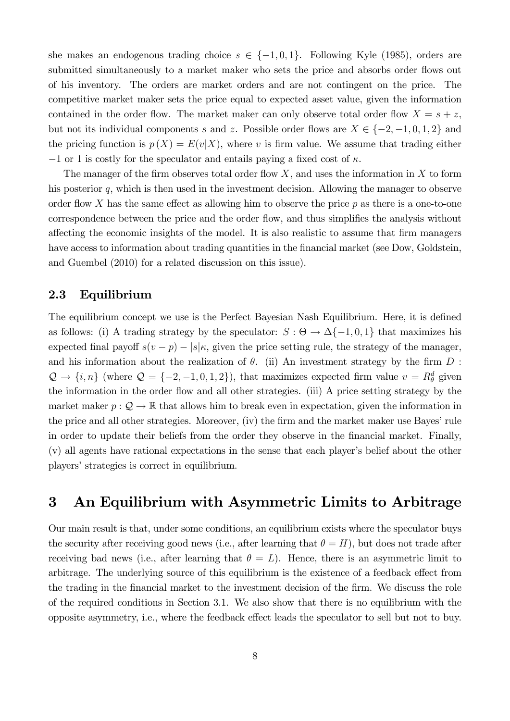she makes an endogenous trading choice  $s \in \{-1, 0, 1\}$ . Following Kyle (1985), orders are submitted simultaneously to a market maker who sets the price and absorbs order flows out of his inventory. The orders are market orders and are not contingent on the price. The competitive market maker sets the price equal to expected asset value, given the information contained in the order flow. The market maker can only observe total order flow  $X = s + z$ , but not its individual components s and z. Possible order flows are  $X \in \{-2, -1, 0, 1, 2\}$  and the pricing function is  $p(X) = E(v|X)$ , where v is firm value. We assume that trading either  $-1$  or 1 is costly for the speculator and entails paying a fixed cost of  $\kappa$ .

The manager of the firm observes total order flow  $X$ , and uses the information in  $X$  to form his posterior q, which is then used in the investment decision. Allowing the manager to observe order flow X has the same effect as allowing him to observe the price  $p$  as there is a one-to-one correspondence between the price and the order flow, and thus simplifies the analysis without affecting the economic insights of the model. It is also realistic to assume that firm managers have access to information about trading quantities in the financial market (see Dow, Goldstein, and Guembel (2010) for a related discussion on this issue).

#### 2.3 Equilibrium

The equilibrium concept we use is the Perfect Bayesian Nash Equilibrium. Here, it is defined as follows: (i) A trading strategy by the speculator:  $S: \Theta \to \Delta\{-1,0,1\}$  that maximizes his expected final payoff  $s(v - p) - |s|\kappa$ , given the price setting rule, the strategy of the manager, and his information about the realization of  $\theta$ . (ii) An investment strategy by the firm  $D$ :  $\mathcal{Q} \to \{i, n\}$  (where  $\mathcal{Q} = \{-2, -1, 0, 1, 2\}$ ), that maximizes expected firm value  $v = R_{\theta}^{d}$  given the information in the order flow and all other strategies. (iii) A price setting strategy by the market maker  $p: \mathcal{Q} \to \mathbb{R}$  that allows him to break even in expectation, given the information in the price and all other strategies. Moreover, (iv) the firm and the market maker use Bayes' rule in order to update their beliefs from the order they observe in the financial market. Finally,  $(v)$  all agents have rational expectations in the sense that each player's belief about the other players' strategies is correct in equilibrium.

## 3 An Equilibrium with Asymmetric Limits to Arbitrage

Our main result is that, under some conditions, an equilibrium exists where the speculator buys the security after receiving good news (i.e., after learning that  $\theta = H$ ), but does not trade after receiving bad news (i.e., after learning that  $\theta = L$ ). Hence, there is an asymmetric limit to arbitrage. The underlying source of this equilibrium is the existence of a feedback effect from the trading in the financial market to the investment decision of the firm. We discuss the role of the required conditions in Section 3.1. We also show that there is no equilibrium with the opposite asymmetry, i.e., where the feedback effect leads the speculator to sell but not to buy.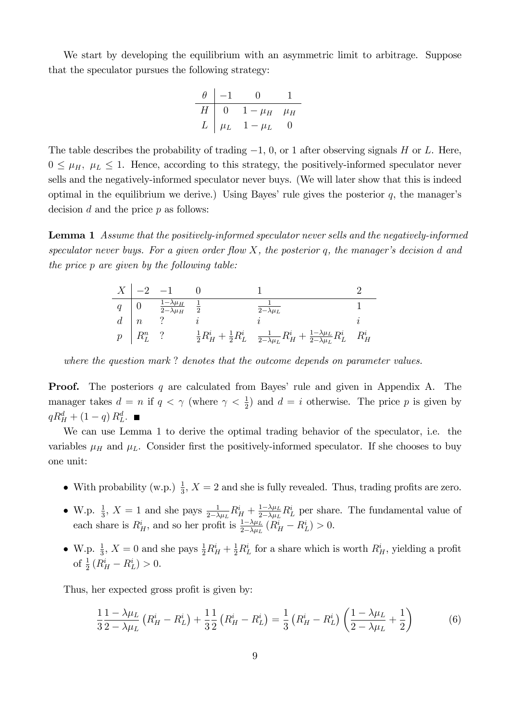We start by developing the equilibrium with an asymmetric limit to arbitrage. Suppose that the speculator pursues the following strategy:

$$
\begin{array}{c|cc}\n\theta & -1 & 0 & 1 \\
\hline\nH & 0 & 1 - \mu_H & \mu_H \\
L & \mu_L & 1 - \mu_L & 0\n\end{array}
$$

The table describes the probability of trading  $-1$ , 0, or 1 after observing signals H or L. Here,  $0 \leq \mu_H$ ,  $\mu_L \leq 1$ . Hence, according to this strategy, the positively-informed speculator never sells and the negatively-informed speculator never buys. (We will later show that this is indeed optimal in the equilibrium we derive.) Using Bayes' rule gives the posterior  $q$ , the manager's decision  $d$  and the price  $p$  as follows:

Lemma 1 Assume that the positively-informed speculator never sells and the negatively-informed speculator never buys. For a given order flow X, the posterior q, the manager's decision d and the price p are given by the following table:

|                  | $rac{1-\lambda\mu_H}{2-\lambda\mu_H}$ $rac{1}{c}$ | $\overline{2-\lambda\mu_L}$                                                                                                                        |  |
|------------------|---------------------------------------------------|----------------------------------------------------------------------------------------------------------------------------------------------------|--|
| $\mid n \mid$    |                                                   |                                                                                                                                                    |  |
| $p \mid R_L^n$ ? |                                                   | $\frac{1}{2}R^i_{H} + \frac{1}{2}R^i_{L} \quad \frac{1}{2-\lambda\mu_{L}}R^i_{H} + \frac{1-\lambda\mu_{L}}{2-\lambda\mu_{L}}R^i_{L} \quad R^i_{H}$ |  |

where the question mark? denotes that the outcome depends on parameter values.

**Proof.** The posteriors  $q$  are calculated from Bayes' rule and given in Appendix A. The manager takes  $d = n$  if  $q < \gamma$  (where  $\gamma < \frac{1}{2}$ ) and  $d = i$  otherwise. The price p is given by  $qR_H^d + (1-q) R_L^d$ .

We can use Lemma 1 to derive the optimal trading behavior of the speculator, i.e. the variables  $\mu$ <sub>H</sub> and  $\mu$ <sub>L</sub>. Consider first the positively-informed speculator. If she chooses to buy one unit:

- With probability (w.p.)  $\frac{1}{3}$ ,  $X = 2$  and she is fully revealed. Thus, trading profits are zero.
- W.p.  $\frac{1}{3}$ ,  $X = 1$  and she pays  $\frac{1}{2-\lambda\mu_L}R_H^i + \frac{1-\lambda\mu_L}{2-\lambda\mu_L}$  $\frac{1-\lambda\mu_L}{2-\lambda\mu_L}R^i_L$  per share. The fundamental value of each share is  $R_H^i$ , and so her profit is  $\frac{1-\lambda\mu_L}{2-\lambda\mu_L}(R_H^i - R_L^i) > 0$ .
- W.p.  $\frac{1}{3}$ ,  $X = 0$  and she pays  $\frac{1}{2}R_H^i + \frac{1}{2}R_L^i$  for a share which is worth  $R_H^i$ , yielding a profit of  $\frac{1}{2}(R_H^i - R_L^i) > 0$ .

Thus, her expected gross profit is given by:

$$
\frac{1}{3}\frac{1-\lambda\mu_L}{2-\lambda\mu_L}\left(R_H^i - R_L^i\right) + \frac{1}{3}\frac{1}{2}\left(R_H^i - R_L^i\right) = \frac{1}{3}\left(R_H^i - R_L^i\right)\left(\frac{1-\lambda\mu_L}{2-\lambda\mu_L} + \frac{1}{2}\right) \tag{6}
$$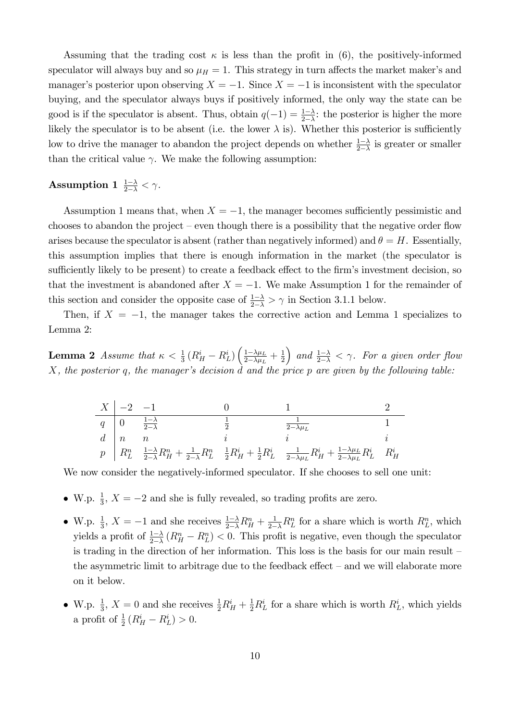Assuming that the trading cost  $\kappa$  is less than the profit in (6), the positively-informed speculator will always buy and so  $\mu_H = 1$ . This strategy in turn affects the market maker's and manager's posterior upon observing  $X = -1$ . Since  $X = -1$  is inconsistent with the speculator buying, and the speculator always buys if positively informed, the only way the state can be good is if the speculator is absent. Thus, obtain  $q(-1) = \frac{1-\lambda}{2-\lambda}$ : the posterior is higher the more likely the speculator is to be absent (i.e. the lower  $\lambda$  is). Whether this posterior is sufficiently low to drive the manager to abandon the project depends on whether  $\frac{1-\lambda}{2-\lambda}$  is greater or smaller than the critical value  $\gamma$ . We make the following assumption:

## Assumption 1  $\frac{1-\lambda}{2-\lambda} < \gamma$ .

Assumption 1 means that, when  $X = -1$ , the manager becomes sufficiently pessimistic and chooses to abandon the project – even though there is a possibility that the negative order flow arises because the speculator is absent (rather than negatively informed) and  $\theta = H$ . Essentially, this assumption implies that there is enough information in the market (the speculator is sufficiently likely to be present) to create a feedback effect to the firm's investment decision, so that the investment is abandoned after  $X = -1$ . We make Assumption 1 for the remainder of this section and consider the opposite case of  $\frac{1-\lambda}{2-\lambda} > \gamma$  in Section 3.1.1 below.

Then, if  $X = -1$ , the manager takes the corrective action and Lemma 1 specializes to Lemma 2:

**Lemma 2** Assume that  $\kappa < \frac{1}{3} (R_H^i - R_L^i) \left( \frac{1 - \lambda \mu_L}{2 - \lambda \mu_L} \right)$  $\frac{1-\lambda\mu_L}{2-\lambda\mu_L}+\frac{1}{2}$ 2 ) and  $\frac{1-\lambda}{2-\lambda} < \gamma$ . For a given order flow  $X$ , the posterior q, the manager's decision  $d$  and the price p are given by the following table:

$$
\begin{array}{c|cccc} X & -2 & -1 & 0 & 1 & 2 \\ \hline q & 0 & \frac{1-\lambda}{2-\lambda} & \frac{1}{2} & \frac{1}{2-\lambda\mu_L} & 1 \\ d & n & n & i & i & i \\ p & R_L^n & \frac{1-\lambda}{2-\lambda}R_H^n + \frac{1}{2-\lambda}R_L^n & \frac{1}{2}R_H^i + \frac{1}{2}R_L^i & \frac{1}{2-\lambda\mu_L}R_H^i + \frac{1-\lambda\mu_L}{2-\lambda\mu_L}R_L^i & R_H^i \end{array}
$$

We now consider the negatively-informed speculator. If she chooses to sell one unit:

- W.p.  $\frac{1}{3}$ ,  $X = -2$  and she is fully revealed, so trading profits are zero.
- W.p.  $\frac{1}{3}$ ,  $X = -1$  and she receives  $\frac{1-\lambda}{2-\lambda}R_H^n + \frac{1}{2-\lambda}R_L^n$  for a share which is worth  $R_L^n$ , which yields a profit of  $\frac{1-\lambda}{2-\lambda}$   $(R_H^n - R_L^n) < 0$ . This profit is negative, even though the speculator is trading in the direction of her information. This loss is the basis for our main result  $\overline{\phantom{a}}$ the asymmetric limit to arbitrage due to the feedback effect  $-$  and we will elaborate more on it below.
- W.p.  $\frac{1}{3}$ ,  $X = 0$  and she receives  $\frac{1}{2}R_H^i + \frac{1}{2}R_L^i$  for a share which is worth  $R_L^i$ , which yields a profit of  $\frac{1}{2} (R_H^i - R_L^i) > 0$ .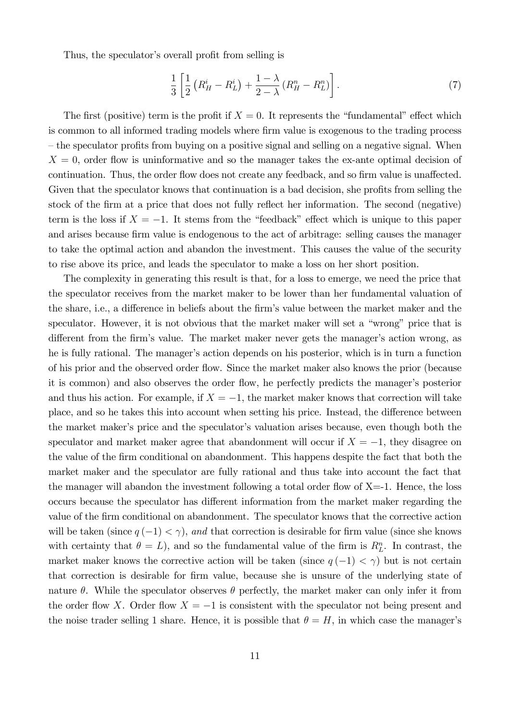Thus, the speculator's overall profit from selling is

$$
\frac{1}{3}\left[\frac{1}{2}\left(R_H^i - R_L^i\right) + \frac{1-\lambda}{2-\lambda}\left(R_H^n - R_L^n\right)\right].\tag{7}
$$

The first (positive) term is the profit if  $X = 0$ . It represents the "fundamental" effect which is common to all informed trading models where firm value is exogenous to the trading process  $-$  the speculator profits from buying on a positive signal and selling on a negative signal. When  $X = 0$ , order flow is uninformative and so the manager takes the ex-ante optimal decision of continuation. Thus, the order flow does not create any feedback, and so firm value is unaffected. Given that the speculator knows that continuation is a bad decision, she profits from selling the stock of the firm at a price that does not fully reflect her information. The second (negative) term is the loss if  $X = -1$ . It stems from the "feedback" effect which is unique to this paper and arises because firm value is endogenous to the act of arbitrage: selling causes the manager to take the optimal action and abandon the investment. This causes the value of the security to rise above its price, and leads the speculator to make a loss on her short position.

The complexity in generating this result is that, for a loss to emerge, we need the price that the speculator receives from the market maker to be lower than her fundamental valuation of the share, i.e., a difference in beliefs about the firm's value between the market maker and the speculator. However, it is not obvious that the market maker will set a "wrong" price that is different from the firm's value. The market maker never gets the manager's action wrong, as he is fully rational. The manager's action depends on his posterior, which is in turn a function of his prior and the observed order flow. Since the market maker also knows the prior (because it is common) and also observes the order flow, he perfectly predicts the manager's posterior and thus his action. For example, if  $X = -1$ , the market maker knows that correction will take place, and so he takes this into account when setting his price. Instead, the difference between the market maker's price and the speculator's valuation arises because, even though both the speculator and market maker agree that abandonment will occur if  $X = -1$ , they disagree on the value of the firm conditional on abandonment. This happens despite the fact that both the market maker and the speculator are fully rational and thus take into account the fact that the manager will abandon the investment following a total order flow of  $X=1$ . Hence, the loss occurs because the speculator has different information from the market maker regarding the value of the Örm conditional on abandonment. The speculator knows that the corrective action will be taken (since  $q(-1) < \gamma$ ), and that correction is desirable for firm value (since she knows with certainty that  $\theta = L$ ), and so the fundamental value of the firm is  $R_L^n$ . In contrast, the market maker knows the corrective action will be taken (since  $q(-1) < \gamma$ ) but is not certain that correction is desirable for firm value, because she is unsure of the underlying state of nature  $\theta$ . While the speculator observes  $\theta$  perfectly, the market maker can only infer it from the order flow X. Order flow  $X = -1$  is consistent with the speculator not being present and the noise trader selling 1 share. Hence, it is possible that  $\theta = H$ , in which case the manager's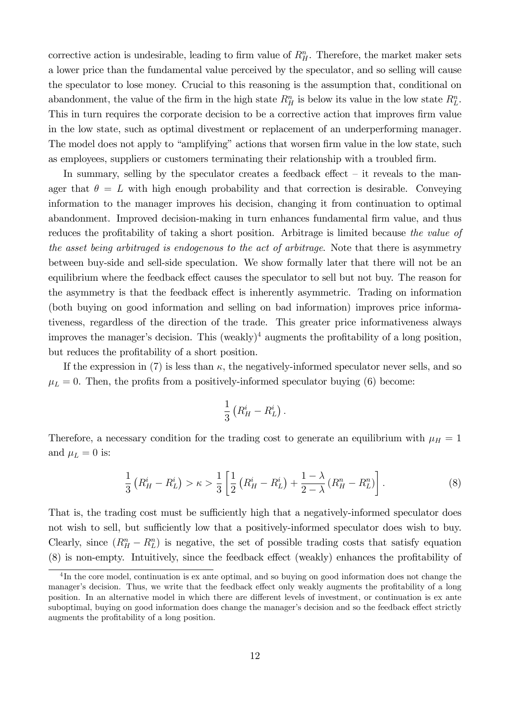corrective action is undesirable, leading to firm value of  $R_H^n$ . Therefore, the market maker sets a lower price than the fundamental value perceived by the speculator, and so selling will cause the speculator to lose money. Crucial to this reasoning is the assumption that, conditional on abandonment, the value of the firm in the high state  $R_H^n$  is below its value in the low state  $R_L^n$ . This in turn requires the corporate decision to be a corrective action that improves firm value in the low state, such as optimal divestment or replacement of an underperforming manager. The model does not apply to "amplifying" actions that worsen firm value in the low state, such as employees, suppliers or customers terminating their relationship with a troubled firm.

In summary, selling by the speculator creates a feedback effect  $-$  it reveals to the manager that  $\theta = L$  with high enough probability and that correction is desirable. Conveying information to the manager improves his decision, changing it from continuation to optimal abandonment. Improved decision-making in turn enhances fundamental Örm value, and thus reduces the profitability of taking a short position. Arbitrage is limited because the value of the asset being arbitraged is endogenous to the act of arbitrage. Note that there is asymmetry between buy-side and sell-side speculation. We show formally later that there will not be an equilibrium where the feedback effect causes the speculator to sell but not buy. The reason for the asymmetry is that the feedback effect is inherently asymmetric. Trading on information (both buying on good information and selling on bad information) improves price informativeness, regardless of the direction of the trade. This greater price informativeness always improves the manager's decision. This (weakly)<sup>4</sup> augments the profitability of a long position, but reduces the profitability of a short position.

If the expression in (7) is less than  $\kappa$ , the negatively-informed speculator never sells, and so  $\mu_L = 0$ . Then, the profits from a positively-informed speculator buying (6) become:

$$
\frac{1}{3}\left(R_H^i - R_L^i\right).
$$

Therefore, a necessary condition for the trading cost to generate an equilibrium with  $\mu_H = 1$ and  $\mu_L = 0$  is:

$$
\frac{1}{3}\left(R_H^i - R_L^i\right) > \kappa > \frac{1}{3} \left[ \frac{1}{2}\left(R_H^i - R_L^i\right) + \frac{1 - \lambda}{2 - \lambda} \left(R_H^n - R_L^n\right) \right].\tag{8}
$$

That is, the trading cost must be sufficiently high that a negatively-informed speculator does not wish to sell, but sufficiently low that a positively-informed speculator does wish to buy. Clearly, since  $(R_H^n - R_L^n)$  is negative, the set of possible trading costs that satisfy equation  $(8)$  is non-empty. Intuitively, since the feedback effect (weakly) enhances the profitability of

<sup>&</sup>lt;sup>4</sup>In the core model, continuation is ex ante optimal, and so buying on good information does not change the manager's decision. Thus, we write that the feedback effect only weakly augments the profitability of a long position. In an alternative model in which there are different levels of investment, or continuation is ex ante suboptimal, buying on good information does change the manager's decision and so the feedback effect strictly augments the profitability of a long position.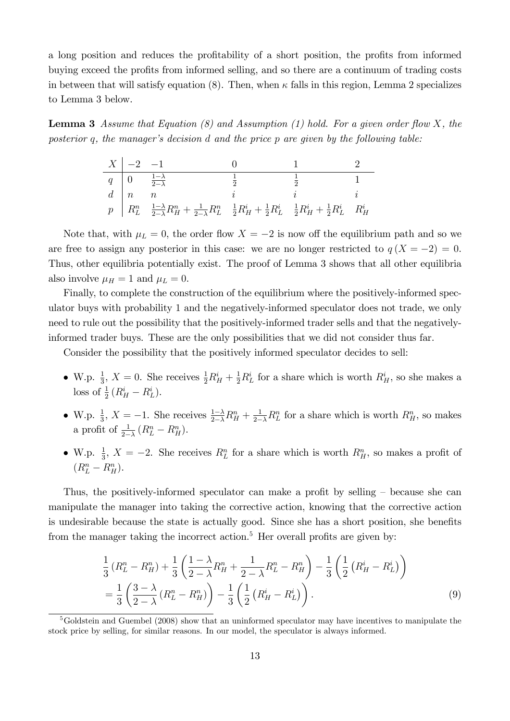a long position and reduces the profitability of a short position, the profits from informed buying exceed the profits from informed selling, and so there are a continuum of trading costs in between that will satisfy equation (8). Then, when  $\kappa$  falls in this region, Lemma 2 specializes to Lemma 3 below.

**Lemma 3** Assume that Equation  $(8)$  and Assumption  $(1)$  hold. For a given order flow X, the posterior q, the manager's decision  $d$  and the price  $p$  are given by the following table:

$$
\begin{array}{c|cccc} X & -2 & -1 & 0 & 1 & 2 \\ \hline q & 0 & \frac{1-\lambda}{2-\lambda} & \frac{1}{2} & \frac{1}{2} & 1 \\ d & n & n & i & i & i \\ p & R_L^n & \frac{1-\lambda}{2-\lambda}R_H^n + \frac{1}{2-\lambda}R_L^n & \frac{1}{2}R_H^i + \frac{1}{2}R_L^i & \frac{1}{2}R_H^i + \frac{1}{2}R_L^i & R_H^i \end{array}
$$

Note that, with  $\mu_L = 0$ , the order flow  $X = -2$  is now off the equilibrium path and so we are free to assign any posterior in this case: we are no longer restricted to  $q(X = -2) = 0$ . Thus, other equilibria potentially exist. The proof of Lemma 3 shows that all other equilibria also involve  $\mu_H = 1$  and  $\mu_L = 0$ .

Finally, to complete the construction of the equilibrium where the positively-informed speculator buys with probability 1 and the negatively-informed speculator does not trade, we only need to rule out the possibility that the positively-informed trader sells and that the negativelyinformed trader buys. These are the only possibilities that we did not consider thus far.

Consider the possibility that the positively informed speculator decides to sell:

- W.p.  $\frac{1}{3}$ ,  $X = 0$ . She receives  $\frac{1}{2}R_H^i + \frac{1}{2}R_L^i$  for a share which is worth  $R_H^i$ , so she makes a loss of  $\frac{1}{2}(R_H^i - R_L^i)$ .
- W.p.  $\frac{1}{3}$ ,  $X = -1$ . She receives  $\frac{1-\lambda}{2-\lambda}R_H^n + \frac{1}{2-\lambda}R_L^n$  for a share which is worth  $R_H^n$ , so makes a profit of  $\frac{1}{2-\lambda} (R_L^n - R_H^n)$ .
- W.p.  $\frac{1}{3}$ ,  $X = -2$ . She receives  $R_L^n$  for a share which is worth  $R_H^n$ , so makes a profit of  $(R_L^n - R_H^n).$

Thus, the positively-informed speculator can make a profit by selling  $-$  because she can manipulate the manager into taking the corrective action, knowing that the corrective action is undesirable because the state is actually good. Since she has a short position, she benefits from the manager taking the incorrect action.<sup>5</sup> Her overall profits are given by:

$$
\frac{1}{3} (R_L^n - R_H^n) + \frac{1}{3} \left( \frac{1 - \lambda}{2 - \lambda} R_H^n + \frac{1}{2 - \lambda} R_L^n - R_H^n \right) - \frac{1}{3} \left( \frac{1}{2} \left( R_H^i - R_L^i \right) \right) \n= \frac{1}{3} \left( \frac{3 - \lambda}{2 - \lambda} (R_L^n - R_H^n) \right) - \frac{1}{3} \left( \frac{1}{2} \left( R_H^i - R_L^i \right) \right).
$$
\n(9)

<sup>5</sup>Goldstein and Guembel (2008) show that an uninformed speculator may have incentives to manipulate the stock price by selling, for similar reasons. In our model, the speculator is always informed.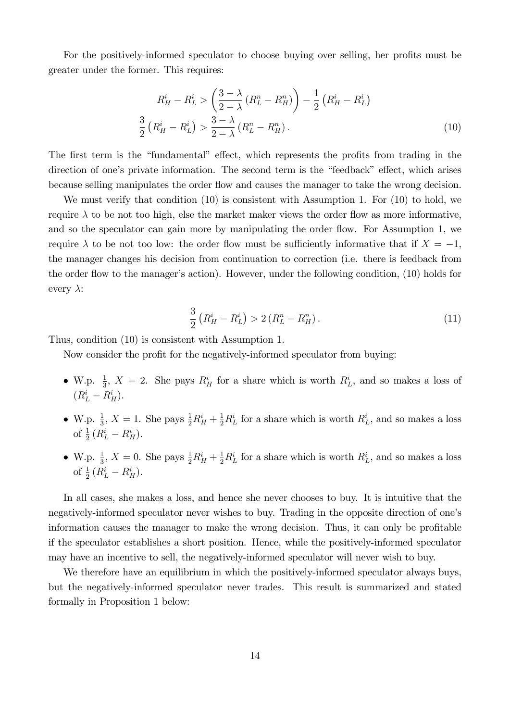For the positively-informed speculator to choose buying over selling, her profits must be greater under the former. This requires:

$$
R_H^i - R_L^i > \left(\frac{3-\lambda}{2-\lambda} (R_L^n - R_H^n)\right) - \frac{1}{2} (R_H^i - R_L^i)
$$
  

$$
\frac{3}{2} (R_H^i - R_L^i) > \frac{3-\lambda}{2-\lambda} (R_L^n - R_H^n).
$$
 (10)

The first term is the "fundamental" effect, which represents the profits from trading in the direction of one's private information. The second term is the "feedback" effect, which arises because selling manipulates the order flow and causes the manager to take the wrong decision.

We must verify that condition (10) is consistent with Assumption 1. For (10) to hold, we require  $\lambda$  to be not too high, else the market maker views the order flow as more informative, and so the speculator can gain more by manipulating the order flow. For Assumption 1, we require  $\lambda$  to be not too low: the order flow must be sufficiently informative that if  $X = -1$ , the manager changes his decision from continuation to correction (i.e. there is feedback from the order flow to the manager's action). However, under the following condition, (10) holds for every  $\lambda$ :

$$
\frac{3}{2}\left(R_H^i - R_L^i\right) > 2\left(R_L^n - R_H^n\right). \tag{11}
$$

Thus, condition (10) is consistent with Assumption 1.

Now consider the profit for the negatively-informed speculator from buying:

- W.p.  $\frac{1}{3}$ ,  $X = 2$ . She pays  $R_H^i$  for a share which is worth  $R_L^i$ , and so makes a loss of  $(R_L^i - R_H^i).$
- W.p.  $\frac{1}{3}$ ,  $X = 1$ . She pays  $\frac{1}{2}R_H^i + \frac{1}{2}R_L^i$  for a share which is worth  $R_L^i$ , and so makes a loss of  $\frac{1}{2}(R_L^i - R_H^i)$ .
- W.p.  $\frac{1}{3}$ ,  $X = 0$ . She pays  $\frac{1}{2}R_H^i + \frac{1}{2}R_L^i$  for a share which is worth  $R_L^i$ , and so makes a loss of  $\frac{1}{2} (R_L^i - R_H^i)$ .

In all cases, she makes a loss, and hence she never chooses to buy. It is intuitive that the negatively-informed speculator never wishes to buy. Trading in the opposite direction of one's information causes the manager to make the wrong decision. Thus, it can only be profitable if the speculator establishes a short position. Hence, while the positively-informed speculator may have an incentive to sell, the negatively-informed speculator will never wish to buy.

We therefore have an equilibrium in which the positively-informed speculator always buys, but the negatively-informed speculator never trades. This result is summarized and stated formally in Proposition 1 below: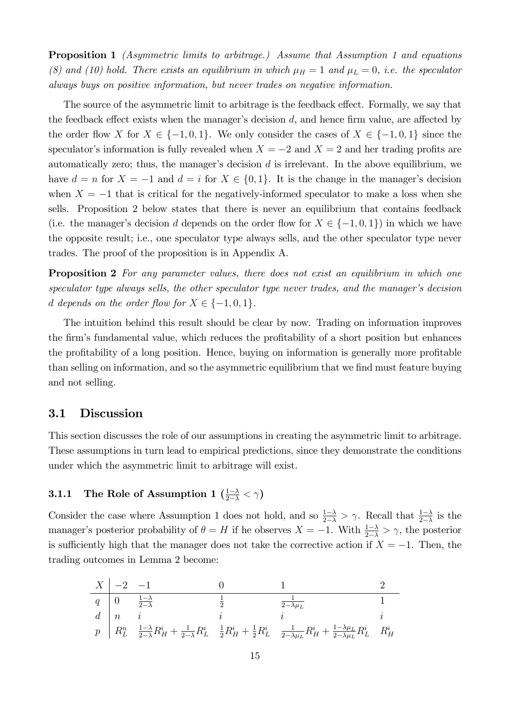Proposition 1 (Asymmetric limits to arbitrage.) Assume that Assumption 1 and equations (8) and (10) hold. There exists an equilibrium in which  $\mu_H = 1$  and  $\mu_L = 0$ , i.e. the speculator always buys on positive information, but never trades on negative information.

The source of the asymmetric limit to arbitrage is the feedback effect. Formally, we say that the feedback effect exists when the manager's decision  $d$ , and hence firm value, are affected by the order flow X for  $X \in \{-1, 0, 1\}$ . We only consider the cases of  $X \in \{-1, 0, 1\}$  since the speculator's information is fully revealed when  $X = -2$  and  $X = 2$  and her trading profits are automatically zero; thus, the manager's decision  $d$  is irrelevant. In the above equilibrium, we have  $d = n$  for  $X = -1$  and  $d = i$  for  $X \in \{0, 1\}$ . It is the change in the manager's decision when  $X = -1$  that is critical for the negatively-informed speculator to make a loss when she sells. Proposition 2 below states that there is never an equilibrium that contains feedback (i.e. the manager's decision d depends on the order flow for  $X \in \{-1, 0, 1\}$ ) in which we have the opposite result; i.e., one speculator type always sells, and the other speculator type never trades. The proof of the proposition is in Appendix A.

**Proposition 2** For any parameter values, there does not exist an equilibrium in which one speculator type always sells, the other speculator type never trades, and the manager's decision d depends on the order flow for  $X \in \{-1, 0, 1\}.$ 

The intuition behind this result should be clear by now. Trading on information improves the firm's fundamental value, which reduces the profitability of a short position but enhances the profitability of a long position. Hence, buying on information is generally more profitable than selling on information, and so the asymmetric equilibrium that we find must feature buying and not selling.

#### 3.1 Discussion

This section discusses the role of our assumptions in creating the asymmetric limit to arbitrage. These assumptions in turn lead to empirical predictions, since they demonstrate the conditions under which the asymmetric limit to arbitrage will exist.

## **3.1.1** The Role of Assumption 1  $\left(\frac{1-\lambda}{2-\lambda} < \gamma\right)$

Consider the case where Assumption 1 does not hold, and so  $\frac{1-\lambda}{2-\lambda} > \gamma$ . Recall that  $\frac{1-\lambda}{2-\lambda}$  is the manager's posterior probability of  $\theta = H$  if he observes  $X = -1$ . With  $\frac{1-\lambda}{2-\lambda} > \gamma$ , the posterior is sufficiently high that the manager does not take the corrective action if  $X = -1$ . Then, the trading outcomes in Lemma 2 become:

$$
\begin{array}{c|cccc} X & -2 & -1 & 0 & 1 & 2 \\ \hline q & 0 & \frac{1-\lambda}{2-\lambda} & \frac{1}{2} & \frac{1}{2-\lambda\mu_L} & 1 \\ d & n & i & i & i & i \\ p & R_L^n & \frac{1-\lambda}{2-\lambda}R_H^i + \frac{1}{2-\lambda}R_L^i & \frac{1}{2}R_H^i + \frac{1}{2}R_L^i & \frac{1}{2-\lambda\mu_L}R_H^i + \frac{1-\lambda\mu_L}{2-\lambda\mu_L}R_L^i & R_H^i \end{array}
$$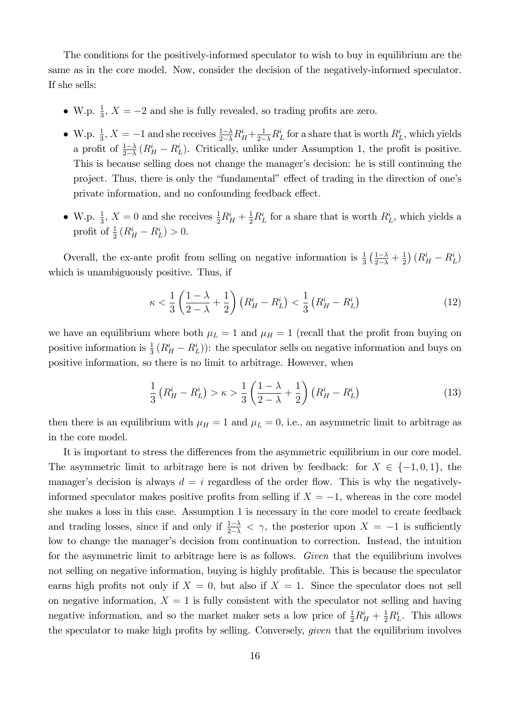The conditions for the positively-informed speculator to wish to buy in equilibrium are the same as in the core model. Now, consider the decision of the negatively-informed speculator. If she sells:

- W.p.  $\frac{1}{3}$ ,  $X = -2$  and she is fully revealed, so trading profits are zero.
- W.p.  $\frac{1}{3}$ ,  $X = -1$  and she receives  $\frac{1-\lambda}{2-\lambda}R_H^i + \frac{1}{2-\lambda}R_L^i$  for a share that is worth  $R_L^i$ , which yields a profit of  $\frac{1-\lambda}{2-\lambda}$   $(R_H^i - R_L^i)$ . Critically, unlike under Assumption 1, the profit is positive. This is because selling does not change the manager's decision: he is still continuing the project. Thus, there is only the "fundamental" effect of trading in the direction of one's private information, and no confounding feedback effect.
- W.p.  $\frac{1}{3}$ ,  $X = 0$  and she receives  $\frac{1}{2}R_H^i + \frac{1}{2}R_L^i$  for a share that is worth  $R_L^i$ , which yields a profit of  $\frac{1}{2} (R_H^i - R_L^i) > 0$ .

Overall, the ex-ante profit from selling on negative information is  $\frac{1}{3}(\frac{1-\lambda}{2-\lambda}+\frac{1}{2})$  $\frac{1}{2}$  $\left(R_H^i - R_L^i\right)$ which is unambiguously positive. Thus, if

$$
\kappa < \frac{1}{3} \left( \frac{1 - \lambda}{2 - \lambda} + \frac{1}{2} \right) \left( R_H^i - R_L^i \right) < \frac{1}{3} \left( R_H^i - R_L^i \right) \tag{12}
$$

we have an equilibrium where both  $\mu_L = 1$  and  $\mu_H = 1$  (recall that the profit from buying on positive information is  $\frac{1}{3}(R_H^i - R_L^i)$ : the speculator sells on negative information and buys on positive information, so there is no limit to arbitrage. However, when

$$
\frac{1}{3}\left(R_H^i - R_L^i\right) > \kappa > \frac{1}{3}\left(\frac{1-\lambda}{2-\lambda} + \frac{1}{2}\right)\left(R_H^i - R_L^i\right) \tag{13}
$$

then there is an equilibrium with  $\mu = 1$  and  $\mu = 0$ , i.e., an asymmetric limit to arbitrage as in the core model.

It is important to stress the differences from the asymmetric equilibrium in our core model. The asymmetric limit to arbitrage here is not driven by feedback: for  $X \in \{-1, 0, 1\}$ , the manager's decision is always  $d = i$  regardless of the order flow. This is why the negativelyinformed speculator makes positive profits from selling if  $X = -1$ , whereas in the core model she makes a loss in this case. Assumption 1 is necessary in the core model to create feedback and trading losses, since if and only if  $\frac{1-\lambda}{2-\lambda} < \gamma$ , the posterior upon  $X = -1$  is sufficiently low to change the manager's decision from continuation to correction. Instead, the intuition for the asymmetric limit to arbitrage here is as follows. Given that the equilibrium involves not selling on negative information, buying is highly profitable. This is because the speculator earns high profits not only if  $X = 0$ , but also if  $X = 1$ . Since the speculator does not sell on negative information,  $X = 1$  is fully consistent with the speculator not selling and having negative information, and so the market maker sets a low price of  $\frac{1}{2}R_H^i + \frac{1}{2}R_L^i$ . This allows the speculator to make high profits by selling. Conversely, *given* that the equilibrium involves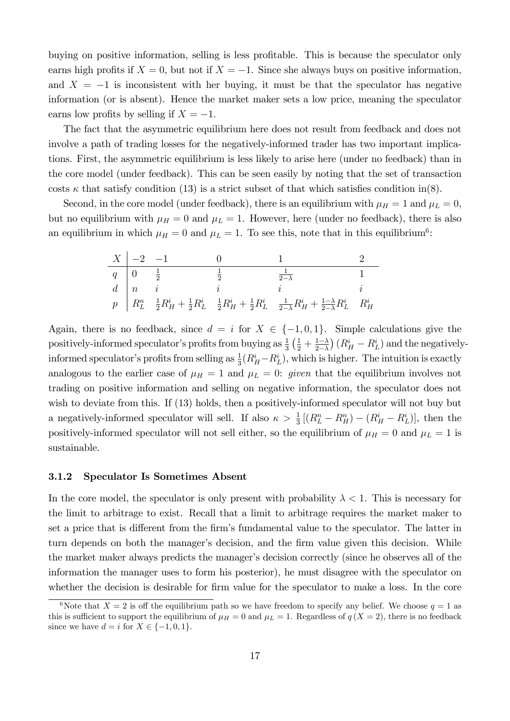buying on positive information, selling is less profitable. This is because the speculator only earns high profits if  $X = 0$ , but not if  $X = -1$ . Since she always buys on positive information, and  $X = -1$  is inconsistent with her buying, it must be that the speculator has negative information (or is absent). Hence the market maker sets a low price, meaning the speculator earns low profits by selling if  $X = -1$ .

The fact that the asymmetric equilibrium here does not result from feedback and does not involve a path of trading losses for the negatively-informed trader has two important implications. First, the asymmetric equilibrium is less likely to arise here (under no feedback) than in the core model (under feedback). This can be seen easily by noting that the set of transaction costs  $\kappa$  that satisfy condition (13) is a strict subset of that which satisfies condition in(8).

Second, in the core model (under feedback), there is an equilibrium with  $\mu_H = 1$  and  $\mu_L = 0$ , but no equilibrium with  $\mu = 0$  and  $\mu = 1$ . However, here (under no feedback), there is also an equilibrium in which  $\mu = 0$  and  $\mu = 1$ . To see this, note that in this equilibrium<sup>6</sup>:

| $X \mid -2 \quad -1$          |               |                                                                                                                                                                                                                                  |  |
|-------------------------------|---------------|----------------------------------------------------------------------------------------------------------------------------------------------------------------------------------------------------------------------------------|--|
| $q \mid 0 \qquad \frac{1}{2}$ | $\frac{1}{2}$ | $\frac{1}{2-\lambda}$                                                                                                                                                                                                            |  |
|                               |               |                                                                                                                                                                                                                                  |  |
|                               |               | $\begin{array}{c ccccc} & i & & i & & i & & i \\ \hline p & R_L^n & \frac{1}{2}R_H^i + \frac{1}{2}R_L^i & \frac{1}{2}R_H^i + \frac{1}{2}R_L^i & \frac{1}{2-\lambda}R_H^i + \frac{1-\lambda}{2-\lambda}R_L^i & R_H^i \end{array}$ |  |

Again, there is no feedback, since  $d = i$  for  $X \in \{-1, 0, 1\}$ . Simple calculations give the positively-informed speculator's profits from buying as  $\frac{1}{3}(\frac{1}{2} + \frac{1-\lambda}{2-\lambda})$  $2-\lambda$  $(R_H^i - R_L^i)$  and the negativelyinformed speculator's profits from selling as  $\frac{1}{3}(R_H^i - R_L^i)$ , which is higher. The intuition is exactly analogous to the earlier case of  $\mu_H = 1$  and  $\mu_L = 0$ : given that the equilibrium involves not trading on positive information and selling on negative information, the speculator does not wish to deviate from this. If (13) holds, then a positively-informed speculator will not buy but a negatively-informed speculator will sell. If also  $\kappa > \frac{1}{3} [(R_L^n - R_H^n) - (R_H^i - R_L^i)]$ , then the positively-informed speculator will not sell either, so the equilibrium of  $\mu_H = 0$  and  $\mu_L = 1$  is sustainable.

#### 3.1.2 Speculator Is Sometimes Absent

In the core model, the speculator is only present with probability  $\lambda < 1$ . This is necessary for the limit to arbitrage to exist. Recall that a limit to arbitrage requires the market maker to set a price that is different from the firm's fundamental value to the speculator. The latter in turn depends on both the manager's decision, and the firm value given this decision. While the market maker always predicts the manager's decision correctly (since he observes all of the information the manager uses to form his posterior), he must disagree with the speculator on whether the decision is desirable for firm value for the speculator to make a loss. In the core

<sup>&</sup>lt;sup>6</sup>Note that  $X = 2$  is off the equilibrium path so we have freedom to specify any belief. We choose  $q = 1$  as this is sufficient to support the equilibrium of  $\mu_H = 0$  and  $\mu_L = 1$ . Regardless of  $q(X = 2)$ , there is no feedback since we have  $d = i$  for  $X \in \{-1, 0, 1\}.$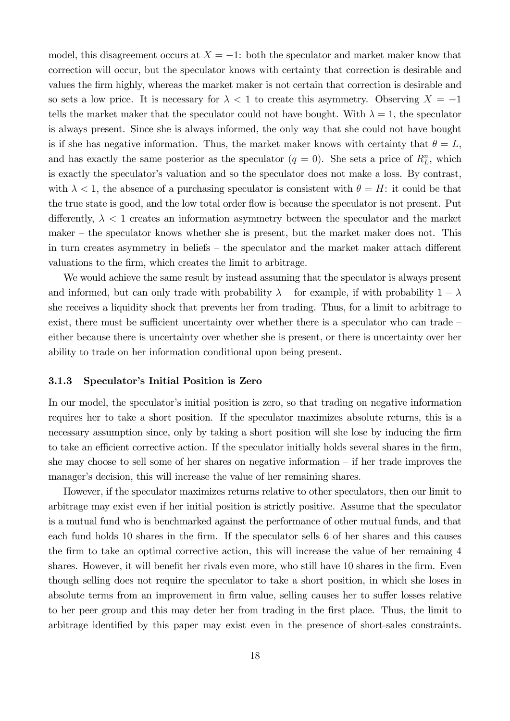model, this disagreement occurs at  $X = -1$ : both the speculator and market maker know that correction will occur, but the speculator knows with certainty that correction is desirable and values the Örm highly, whereas the market maker is not certain that correction is desirable and so sets a low price. It is necessary for  $\lambda < 1$  to create this asymmetry. Observing  $X = -1$ tells the market maker that the speculator could not have bought. With  $\lambda = 1$ , the speculator is always present. Since she is always informed, the only way that she could not have bought is if she has negative information. Thus, the market maker knows with certainty that  $\theta = L$ , and has exactly the same posterior as the speculator  $(q = 0)$ . She sets a price of  $R_L^n$ , which is exactly the speculator's valuation and so the speculator does not make a loss. By contrast, with  $\lambda < 1$ , the absence of a purchasing speculator is consistent with  $\theta = H$ : it could be that the true state is good, and the low total order flow is because the speculator is not present. Put differently,  $\lambda < 1$  creates an information asymmetry between the speculator and the market  $m$ aker  $-$  the speculator knows whether she is present, but the market maker does not. This in turn creates asymmetry in beliefs  $<$  the speculator and the market maker attach different valuations to the Örm, which creates the limit to arbitrage.

We would achieve the same result by instead assuming that the speculator is always present and informed, but can only trade with probability  $\lambda$  – for example, if with probability  $1 - \lambda$ she receives a liquidity shock that prevents her from trading. Thus, for a limit to arbitrage to exist, there must be sufficient uncertainty over whether there is a speculator who can trade  $\overline{\phantom{a}}$ either because there is uncertainty over whether she is present, or there is uncertainty over her ability to trade on her information conditional upon being present.

#### 3.1.3 Speculator's Initial Position is Zero

In our model, the speculator's initial position is zero, so that trading on negative information requires her to take a short position. If the speculator maximizes absolute returns, this is a necessary assumption since, only by taking a short position will she lose by inducing the firm to take an efficient corrective action. If the speculator initially holds several shares in the firm, she may choose to sell some of her shares on negative information  $\overline{\phantom{a}}$  if her trade improves the manager's decision, this will increase the value of her remaining shares.

However, if the speculator maximizes returns relative to other speculators, then our limit to arbitrage may exist even if her initial position is strictly positive. Assume that the speculator is a mutual fund who is benchmarked against the performance of other mutual funds, and that each fund holds 10 shares in the firm. If the speculator sells 6 of her shares and this causes the Örm to take an optimal corrective action, this will increase the value of her remaining 4 shares. However, it will benefit her rivals even more, who still have 10 shares in the firm. Even though selling does not require the speculator to take a short position, in which she loses in absolute terms from an improvement in firm value, selling causes her to suffer losses relative to her peer group and this may deter her from trading in the Örst place. Thus, the limit to arbitrage identified by this paper may exist even in the presence of short-sales constraints.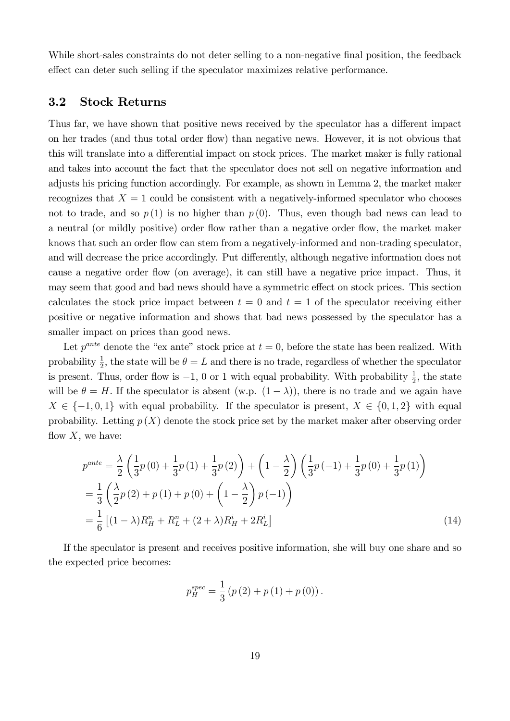While short-sales constraints do not deter selling to a non-negative final position, the feedback effect can deter such selling if the speculator maximizes relative performance.

#### 3.2 Stock Returns

Thus far, we have shown that positive news received by the speculator has a different impact on her trades (and thus total order áow) than negative news. However, it is not obvious that this will translate into a differential impact on stock prices. The market maker is fully rational and takes into account the fact that the speculator does not sell on negative information and adjusts his pricing function accordingly. For example, as shown in Lemma 2, the market maker recognizes that  $X = 1$  could be consistent with a negatively-informed speculator who chooses not to trade, and so  $p(1)$  is no higher than  $p(0)$ . Thus, even though bad news can lead to a neutral (or mildly positive) order flow rather than a negative order flow, the market maker knows that such an order flow can stem from a negatively-informed and non-trading speculator, and will decrease the price accordingly. Put differently, although negative information does not cause a negative order áow (on average), it can still have a negative price impact. Thus, it may seem that good and bad news should have a symmetric effect on stock prices. This section calculates the stock price impact between  $t = 0$  and  $t = 1$  of the speculator receiving either positive or negative information and shows that bad news possessed by the speculator has a smaller impact on prices than good news.

Let  $p^{ante}$  denote the "ex ante" stock price at  $t = 0$ , before the state has been realized. With probability  $\frac{1}{2}$ , the state will be  $\theta = L$  and there is no trade, regardless of whether the speculator is present. Thus, order flow is  $-1$ , 0 or 1 with equal probability. With probability  $\frac{1}{2}$ , the state will be  $\theta = H$ . If the speculator is absent (w.p.  $(1 - \lambda)$ ), there is no trade and we again have  $X \in \{-1, 0, 1\}$  with equal probability. If the speculator is present,  $X \in \{0, 1, 2\}$  with equal probability. Letting  $p(X)$  denote the stock price set by the market maker after observing order flow  $X$ , we have:

$$
p^{ante} = \frac{\lambda}{2} \left( \frac{1}{3} p(0) + \frac{1}{3} p(1) + \frac{1}{3} p(2) \right) + \left( 1 - \frac{\lambda}{2} \right) \left( \frac{1}{3} p(-1) + \frac{1}{3} p(0) + \frac{1}{3} p(1) \right)
$$
  
= 
$$
\frac{1}{3} \left( \frac{\lambda}{2} p(2) + p(1) + p(0) + \left( 1 - \frac{\lambda}{2} \right) p(-1) \right)
$$
  
= 
$$
\frac{1}{6} \left[ (1 - \lambda) R_H^n + R_L^n + (2 + \lambda) R_H^i + 2R_L^i \right]
$$
(14)

If the speculator is present and receives positive information, she will buy one share and so the expected price becomes:

$$
p_{H}^{spec} = \frac{1}{3} (p (2) + p (1) + p (0)).
$$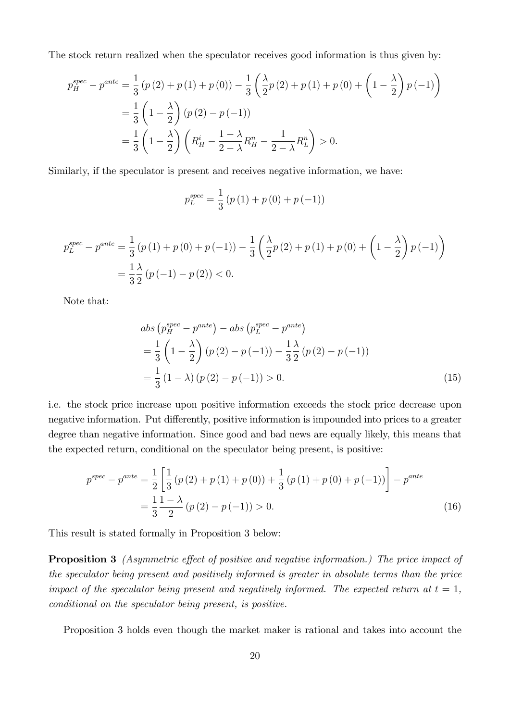The stock return realized when the speculator receives good information is thus given by:

$$
p_H^{spec} - p^{ante} = \frac{1}{3} (p (2) + p (1) + p (0)) - \frac{1}{3} \left( \frac{\lambda}{2} p (2) + p (1) + p (0) + \left( 1 - \frac{\lambda}{2} \right) p (-1) \right)
$$
  
=  $\frac{1}{3} \left( 1 - \frac{\lambda}{2} \right) (p (2) - p (-1))$   
=  $\frac{1}{3} \left( 1 - \frac{\lambda}{2} \right) \left( R_H^i - \frac{1 - \lambda}{2 - \lambda} R_H^n - \frac{1}{2 - \lambda} R_L^n \right) > 0.$ 

Similarly, if the speculator is present and receives negative information, we have:

$$
p_L^{spec} = \frac{1}{3} (p (1) + p (0) + p (-1))
$$

$$
p_L^{spec} - p^{ante} = \frac{1}{3} (p (1) + p (0) + p (-1)) - \frac{1}{3} \left( \frac{\lambda}{2} p (2) + p (1) + p (0) + \left( 1 - \frac{\lambda}{2} \right) p (-1) \right)
$$
  
=  $\frac{1}{3} \frac{\lambda}{2} (p (-1) - p (2)) < 0.$ 

Note that:

$$
abs\left(p_H^{spec} - p^{ante}\right) - abs\left(p_L^{spec} - p^{ante}\right)
$$
  
=  $\frac{1}{3}\left(1 - \frac{\lambda}{2}\right)\left(p\left(2\right) - p\left(-1\right)\right) - \frac{1}{3}\frac{\lambda}{2}\left(p\left(2\right) - p\left(-1\right)\right)$   
=  $\frac{1}{3}\left(1 - \lambda\right)\left(p\left(2\right) - p\left(-1\right)\right) > 0.$  (15)

i.e. the stock price increase upon positive information exceeds the stock price decrease upon negative information. Put differently, positive information is impounded into prices to a greater degree than negative information. Since good and bad news are equally likely, this means that the expected return, conditional on the speculator being present, is positive:

$$
p^{spec} - p^{ante} = \frac{1}{2} \left[ \frac{1}{3} \left( p \left( 2 \right) + p \left( 1 \right) + p \left( 0 \right) \right) + \frac{1}{3} \left( p \left( 1 \right) + p \left( 0 \right) + p \left( -1 \right) \right) \right] - p^{ante}
$$

$$
= \frac{1}{3} \frac{1 - \lambda}{2} \left( p \left( 2 \right) - p \left( -1 \right) \right) > 0. \tag{16}
$$

This result is stated formally in Proposition 3 below:

**Proposition 3** (Asymmetric effect of positive and negative information.) The price impact of the speculator being present and positively informed is greater in absolute terms than the price impact of the speculator being present and negatively informed. The expected return at  $t = 1$ , conditional on the speculator being present, is positive.

Proposition 3 holds even though the market maker is rational and takes into account the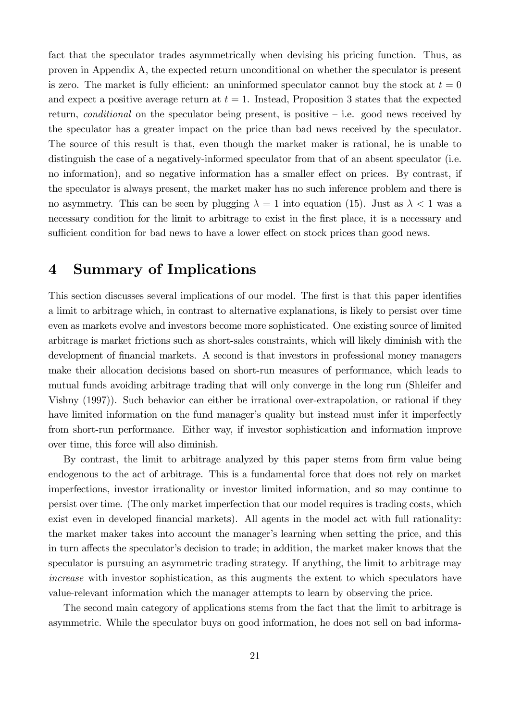fact that the speculator trades asymmetrically when devising his pricing function. Thus, as proven in Appendix A, the expected return unconditional on whether the speculator is present is zero. The market is fully efficient: an uninformed speculator cannot buy the stock at  $t = 0$ and expect a positive average return at  $t = 1$ . Instead, Proposition 3 states that the expected return, *conditional* on the speculator being present, is positive  $\overline{\phantom{a}}$  i.e. good news received by the speculator has a greater impact on the price than bad news received by the speculator. The source of this result is that, even though the market maker is rational, he is unable to distinguish the case of a negatively-informed speculator from that of an absent speculator (i.e. no information), and so negative information has a smaller effect on prices. By contrast, if the speculator is always present, the market maker has no such inference problem and there is no asymmetry. This can be seen by plugging  $\lambda = 1$  into equation (15). Just as  $\lambda < 1$  was a necessary condition for the limit to arbitrage to exist in the first place, it is a necessary and sufficient condition for bad news to have a lower effect on stock prices than good news.

## 4 Summary of Implications

This section discusses several implications of our model. The first is that this paper identifies a limit to arbitrage which, in contrast to alternative explanations, is likely to persist over time even as markets evolve and investors become more sophisticated. One existing source of limited arbitrage is market frictions such as short-sales constraints, which will likely diminish with the development of financial markets. A second is that investors in professional money managers make their allocation decisions based on short-run measures of performance, which leads to mutual funds avoiding arbitrage trading that will only converge in the long run (Shleifer and Vishny (1997)). Such behavior can either be irrational over-extrapolation, or rational if they have limited information on the fund manager's quality but instead must infer it imperfectly from short-run performance. Either way, if investor sophistication and information improve over time, this force will also diminish.

By contrast, the limit to arbitrage analyzed by this paper stems from firm value being endogenous to the act of arbitrage. This is a fundamental force that does not rely on market imperfections, investor irrationality or investor limited information, and so may continue to persist over time. (The only market imperfection that our model requires is trading costs, which exist even in developed financial markets). All agents in the model act with full rationality: the market maker takes into account the manager's learning when setting the price, and this in turn affects the speculator's decision to trade; in addition, the market maker knows that the speculator is pursuing an asymmetric trading strategy. If anything, the limit to arbitrage may increase with investor sophistication, as this augments the extent to which speculators have value-relevant information which the manager attempts to learn by observing the price.

The second main category of applications stems from the fact that the limit to arbitrage is asymmetric. While the speculator buys on good information, he does not sell on bad informa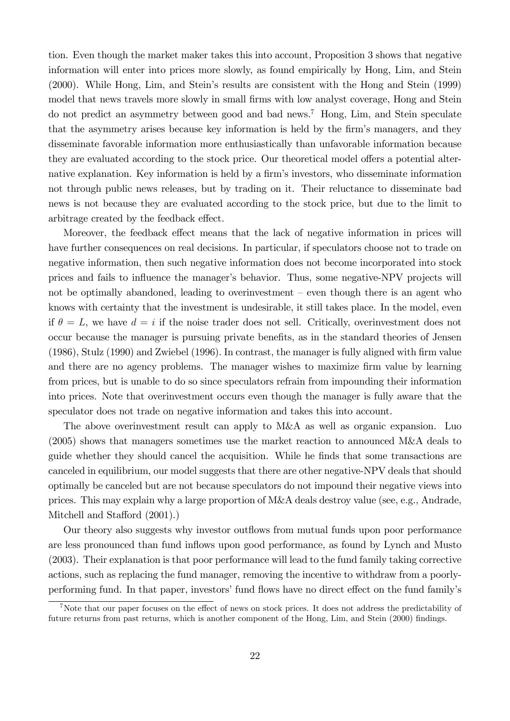tion. Even though the market maker takes this into account, Proposition 3 shows that negative information will enter into prices more slowly, as found empirically by Hong, Lim, and Stein (2000). While Hong, Lim, and Steinís results are consistent with the Hong and Stein (1999) model that news travels more slowly in small firms with low analyst coverage, Hong and Stein do not predict an asymmetry between good and bad news.<sup>7</sup> Hong, Lim, and Stein speculate that the asymmetry arises because key information is held by the firm's managers, and they disseminate favorable information more enthusiastically than unfavorable information because they are evaluated according to the stock price. Our theoretical model offers a potential alternative explanation. Key information is held by a firm's investors, who disseminate information not through public news releases, but by trading on it. Their reluctance to disseminate bad news is not because they are evaluated according to the stock price, but due to the limit to arbitrage created by the feedback effect.

Moreover, the feedback effect means that the lack of negative information in prices will have further consequences on real decisions. In particular, if speculators choose not to trade on negative information, then such negative information does not become incorporated into stock prices and fails to influence the manager's behavior. Thus, some negative-NPV projects will not be optimally abandoned, leading to overinvestment  $-$  even though there is an agent who knows with certainty that the investment is undesirable, it still takes place. In the model, even if  $\theta = L$ , we have  $d = i$  if the noise trader does not sell. Critically, overinvestment does not occur because the manager is pursuing private benefits, as in the standard theories of Jensen (1986), Stulz (1990) and Zwiebel (1996). In contrast, the manager is fully aligned with Örm value and there are no agency problems. The manager wishes to maximize firm value by learning from prices, but is unable to do so since speculators refrain from impounding their information into prices. Note that overinvestment occurs even though the manager is fully aware that the speculator does not trade on negative information and takes this into account.

The above overinvestment result can apply to M&A as well as organic expansion. Luo (2005) shows that managers sometimes use the market reaction to announced M&A deals to guide whether they should cancel the acquisition. While he finds that some transactions are canceled in equilibrium, our model suggests that there are other negative-NPV deals that should optimally be canceled but are not because speculators do not impound their negative views into prices. This may explain why a large proportion of M&A deals destroy value (see, e.g., Andrade, Mitchell and Stafford (2001).)

Our theory also suggests why investor outflows from mutual funds upon poor performance are less pronounced than fund ináows upon good performance, as found by Lynch and Musto (2003). Their explanation is that poor performance will lead to the fund family taking corrective actions, such as replacing the fund manager, removing the incentive to withdraw from a poorlyperforming fund. In that paper, investors' fund flows have no direct effect on the fund family's

<sup>&</sup>lt;sup>7</sup>Note that our paper focuses on the effect of news on stock prices. It does not address the predictability of future returns from past returns, which is another component of the Hong, Lim, and Stein (2000) findings.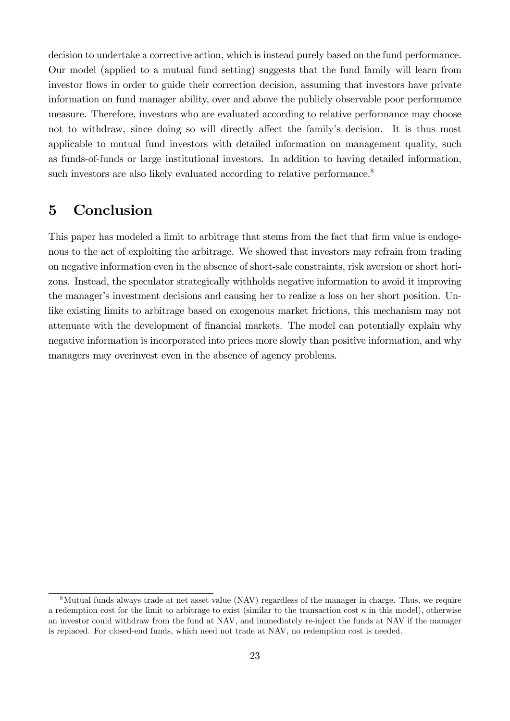decision to undertake a corrective action, which is instead purely based on the fund performance. Our model (applied to a mutual fund setting) suggests that the fund family will learn from investor flows in order to guide their correction decision, assuming that investors have private information on fund manager ability, over and above the publicly observable poor performance measure. Therefore, investors who are evaluated according to relative performance may choose not to withdraw, since doing so will directly affect the family's decision. It is thus most applicable to mutual fund investors with detailed information on management quality, such as funds-of-funds or large institutional investors. In addition to having detailed information, such investors are also likely evaluated according to relative performance.<sup>8</sup>

### 5 Conclusion

This paper has modeled a limit to arbitrage that stems from the fact that firm value is endogenous to the act of exploiting the arbitrage. We showed that investors may refrain from trading on negative information even in the absence of short-sale constraints, risk aversion or short horizons. Instead, the speculator strategically withholds negative information to avoid it improving the manager's investment decisions and causing her to realize a loss on her short position. Unlike existing limits to arbitrage based on exogenous market frictions, this mechanism may not attenuate with the development of financial markets. The model can potentially explain why negative information is incorporated into prices more slowly than positive information, and why managers may overinvest even in the absence of agency problems.

<sup>8</sup>Mutual funds always trade at net asset value (NAV) regardless of the manager in charge. Thus, we require a redemption cost for the limit to arbitrage to exist (similar to the transaction cost  $\kappa$  in this model), otherwise an investor could withdraw from the fund at NAV, and immediately re-inject the funds at NAV if the manager is replaced. For closed-end funds, which need not trade at NAV, no redemption cost is needed.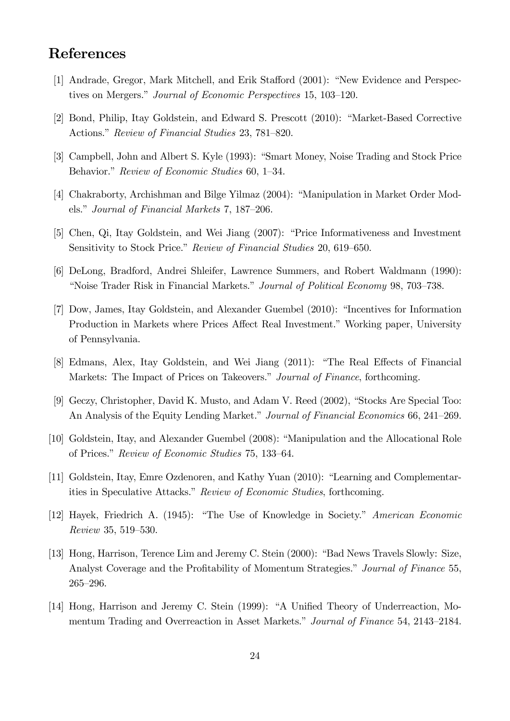## References

- [1] Andrade, Gregor, Mark Mitchell, and Erik Stafford (2001): "New Evidence and Perspectives on Mergers." Journal of Economic Perspectives 15, 103–120.
- [2] Bond, Philip, Itay Goldstein, and Edward S. Prescott (2010): "Market-Based Corrective Actions." Review of Financial Studies 23, 781–820.
- [3] Campbell, John and Albert S. Kyle (1993): "Smart Money, Noise Trading and Stock Price Behavior." Review of Economic Studies 60, 1–34.
- [4] Chakraborty, Archishman and Bilge Yilmaz (2004): "Manipulation in Market Order Models." Journal of Financial Markets 7, 187–206.
- [5] Chen, Qi, Itay Goldstein, and Wei Jiang (2007): "Price Informativeness and Investment Sensitivity to Stock Price." Review of Financial Studies 20, 619–650.
- [6] DeLong, Bradford, Andrei Shleifer, Lawrence Summers, and Robert Waldmann (1990): *i*Noise Trader Risk in Financial Markets." *Journal of Political Economy* 98, 703–738.
- [7] Dow, James, Itay Goldstein, and Alexander Guembel (2010): "Incentives for Information Production in Markets where Prices Affect Real Investment." Working paper, University of Pennsylvania.
- [8] Edmans, Alex, Itay Goldstein, and Wei Jiang (2011): "The Real Effects of Financial Markets: The Impact of Prices on Takeovers." Journal of Finance, forthcoming.
- [9] Geczy, Christopher, David K. Musto, and Adam V. Reed (2002), "Stocks Are Special Too: An Analysis of the Equity Lending Market." Journal of Financial Economics 66, 241–269.
- [10] Goldstein, Itay, and Alexander Guembel (2008): "Manipulation and the Allocational Role of Prices." Review of Economic Studies 75, 133–64.
- [11] Goldstein, Itay, Emre Ozdenoren, and Kathy Yuan (2010): "Learning and Complementarities in Speculative Attacks." Review of Economic Studies, forthcoming.
- [12] Hayek, Friedrich A. (1945): "The Use of Knowledge in Society." American Economic Review 35, 519–530.
- [13] Hong, Harrison, Terence Lim and Jeremy C. Stein (2000): "Bad News Travels Slowly: Size, Analyst Coverage and the Profitability of Momentum Strategies." Journal of Finance 55,  $265 - 296.$
- [14] Hong, Harrison and Jeremy C. Stein (1999): "A Unified Theory of Underreaction, Momentum Trading and Overreaction in Asset Markets." Journal of Finance 54, 2143–2184.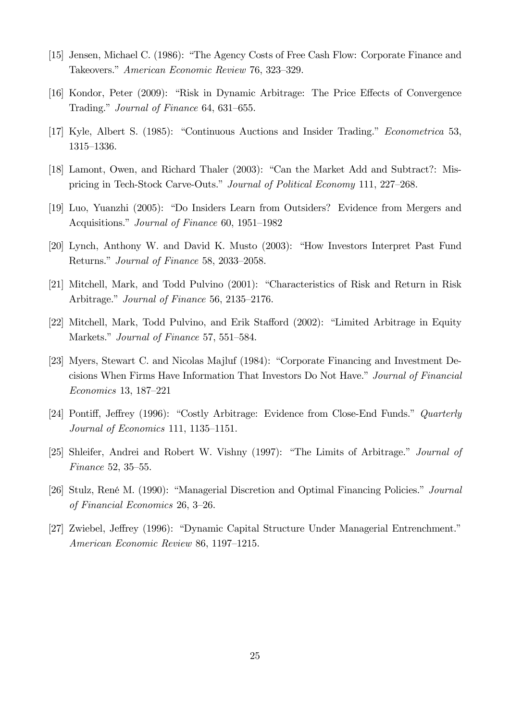- [15] Jensen, Michael C. (1986): "The Agency Costs of Free Cash Flow: Corporate Finance and Takeovers." American Economic Review 76, 323-329.
- [16] Kondor, Peter  $(2009)$ : "Risk in Dynamic Arbitrage: The Price Effects of Convergence Trading." Journal of Finance 64, 631–655.
- [17] Kyle, Albert S. (1985): "Continuous Auctions and Insider Trading." *Econometrica* 53, 1315–1336.
- [18] Lamont, Owen, and Richard Thaler (2003): "Can the Market Add and Subtract?: Mispricing in Tech-Stock Carve-Outs." Journal of Political Economy 111, 227–268.
- [19] Luo, Yuanzhi (2005): "Do Insiders Learn from Outsiders? Evidence from Mergers and Acquisitions." Journal of Finance 60, 1951–1982
- $[20]$  Lynch, Anthony W. and David K. Musto  $(2003)$ : "How Investors Interpret Past Fund Returns." Journal of Finance 58, 2033-2058.
- [21] Mitchell, Mark, and Todd Pulvino (2001): "Characteristics of Risk and Return in Risk Arbitrage." Journal of Finance 56, 2135–2176.
- [22] Mitchell, Mark, Todd Pulvino, and Erik Stafford (2002): "Limited Arbitrage in Equity Markets." Journal of Finance 57, 551–584.
- [23] Myers, Stewart C. and Nicolas Majluf (1984): "Corporate Financing and Investment Decisions When Firms Have Information That Investors Do Not Have." Journal of Financial Economics 13, 187–221
- [24] Pontiff, Jeffrey (1996): "Costly Arbitrage: Evidence from Close-End Funds." Quarterly Journal of Economics 111, 1135-1151.
- [25] Shleifer, Andrei and Robert W. Vishny (1997): "The Limits of Arbitrage." Journal of  $Finance 52, 35-55.$
- [26] Stulz, René M. (1990): "Managerial Discretion and Optimal Financing Policies." Journal of Financial Economics 26,  $3-26$ .
- [27] Zwiebel, Jeffrey (1996): "Dynamic Capital Structure Under Managerial Entrenchment." American Economic Review 86, 1197–1215.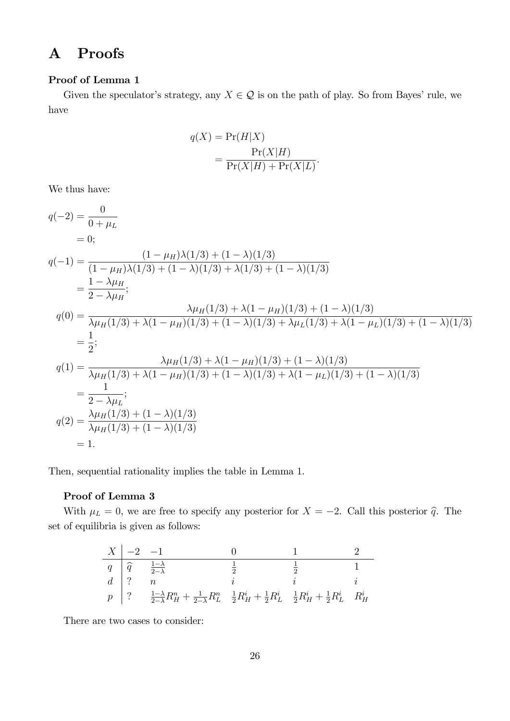## A Proofs

#### Proof of Lemma 1

Given the speculator's strategy, any  $X \in \mathcal{Q}$  is on the path of play. So from Bayes' rule, we have

$$
q(X) = \Pr(H|X)
$$
  
= 
$$
\frac{\Pr(X|H)}{\Pr(X|H) + \Pr(X|L)}
$$

:

We thus have:

$$
q(-2) = \frac{0}{0 + \mu_L}
$$
  
\n= 0;  
\n
$$
q(-1) = \frac{(1 - \mu_H)\lambda(1/3) + (1 - \lambda)(1/3)}{(1 - \mu_H)\lambda(1/3) + (1 - \lambda)(1/3) + \lambda(1/3) + (1 - \lambda)(1/3)}
$$
  
\n
$$
= \frac{1 - \lambda\mu_H}{2 - \lambda\mu_H};
$$
  
\n
$$
q(0) = \frac{\lambda\mu_H(1/3) + \lambda(1 - \mu_H)(1/3) + (1 - \lambda)(1/3)}{\lambda\mu_H(1/3) + \lambda(1 - \mu_H)(1/3) + (1 - \lambda)(1/3) + \lambda\mu_L(1/3) + \lambda(1 - \mu_L)(1/3) + (1 - \lambda)(1/3)}
$$
  
\n
$$
= \frac{1}{2};
$$
  
\n
$$
q(1) = \frac{\lambda\mu_H(1/3) + \lambda(1 - \mu_H)(1/3) + (1 - \lambda)(1/3)}{\lambda\mu_H(1/3) + \lambda(1 - \mu_H)(1/3) + (1 - \lambda)(1/3) + \lambda(1 - \mu_L)(1/3) + (1 - \lambda)(1/3)}
$$
  
\n
$$
= \frac{1}{2 - \lambda\mu_L};
$$
  
\n
$$
q(2) = \frac{\lambda\mu_H(1/3) + (1 - \lambda)(1/3)}{\lambda\mu_H(1/3) + (1 - \lambda)(1/3)}
$$
  
\n= 1.

Then, sequential rationality implies the table in Lemma 1.

#### Proof of Lemma 3

With  $\mu_L = 0$ , we are free to specify any posterior for  $X = -2$ . Call this posterior  $\hat{q}$ . The set of equilibria is given as follows:

| $X \mid -2 \mid -1$ |                                                                                                                                                                                                                                                                                                                                                                                                                                             |  |  |
|---------------------|---------------------------------------------------------------------------------------------------------------------------------------------------------------------------------------------------------------------------------------------------------------------------------------------------------------------------------------------------------------------------------------------------------------------------------------------|--|--|
|                     |                                                                                                                                                                                                                                                                                                                                                                                                                                             |  |  |
|                     |                                                                                                                                                                                                                                                                                                                                                                                                                                             |  |  |
|                     | $\begin{array}{ c c c c c } \hline \begin{array}{cccccccccc} q & \widehat{q} & \frac{1-\lambda}{2-\lambda} & & & \frac{1}{2} & & \frac{1}{2} & & 1 \\ \end{array} & & & & & \frac{1}{2} & & \frac{1}{2} & & 1 \\ \end{array} & & & & & & i & & & \\ \hline p & ? & & & \frac{1-\lambda}{2-\lambda}R^{n}_{H}+\frac{1}{2-\lambda}R^{n}_{L} & & \frac{1}{2}R^{i}_{H}+\frac{1}{2}R^{i}_{L} & & \frac{1}{2}R^{i}_{H}+\frac{1}{2}R^{i}_{L} & & R$ |  |  |

There are two cases to consider: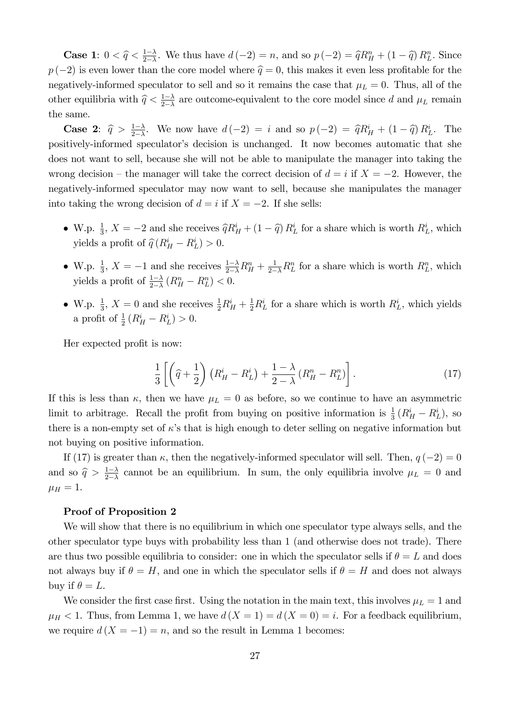**Case 1:**  $0 < \widehat{q} < \frac{1-\lambda}{2-\lambda}$  $\frac{1-\lambda}{2-\lambda}$ . We thus have  $d(-2) = n$ , and so  $p(-2) = \widehat{q}R_H^n + (1-\widehat{q})R_L^n$ . Since  $p(-2)$  is even lower than the core model where  $\hat{q} = 0$ , this makes it even less profitable for the negatively-informed speculator to sell and so it remains the case that  $\mu_L = 0$ . Thus, all of the other equilibria with  $\hat{q} < \frac{1-\lambda}{2-\lambda}$  $\frac{1-\lambda}{2-\lambda}$  are outcome-equivalent to the core model since d and  $\mu_L$  remain the same.

**Case 2:**  $\hat{q} > \frac{1-\lambda}{2-\lambda}$  $\frac{1-\lambda}{2-\lambda}$ . We now have  $d(-2) = i$  and so  $p(-2) = \hat{q}R_H^i + (1-\hat{q})R_L^i$ . The positively-informed speculator's decision is unchanged. It now becomes automatic that she does not want to sell, because she will not be able to manipulate the manager into taking the wrong decision – the manager will take the correct decision of  $d = i$  if  $X = -2$ . However, the negatively-informed speculator may now want to sell, because she manipulates the manager into taking the wrong decision of  $d = i$  if  $X = -2$ . If she sells:

- W.p.  $\frac{1}{3}$ ,  $X = -2$  and she receives  $\hat{q}R_H^i + (1 \hat{q})R_L^i$  for a share which is worth  $R_L^i$ , which yields a profit of  $\hat{q}(R_H^i - R_L^i) > 0$ .
- W.p.  $\frac{1}{3}$ ,  $X = -1$  and she receives  $\frac{1-\lambda}{2-\lambda}R_H^n + \frac{1}{2-\lambda}R_L^n$  for a share which is worth  $R_L^n$ , which yields a profit of  $\frac{1-\lambda}{2-\lambda} (R_H^n - R_L^n) < 0$ .
- W.p.  $\frac{1}{3}$ ,  $X = 0$  and she receives  $\frac{1}{2}R_H^i + \frac{1}{2}R_L^i$  for a share which is worth  $R_L^i$ , which yields a profit of  $\frac{1}{2} (R_H^i - R_L^i) > 0$ .

Her expected profit is now:

$$
\frac{1}{3}\left[\left(\widehat{q}+\frac{1}{2}\right)\left(R_H^i-R_L^i\right)+\frac{1-\lambda}{2-\lambda}\left(R_H^n-R_L^n\right)\right].
$$
\n(17)

If this is less than  $\kappa$ , then we have  $\mu_L = 0$  as before, so we continue to have an asymmetric limit to arbitrage. Recall the profit from buying on positive information is  $\frac{1}{3}(R_H^i - R_L^i)$ , so there is a non-empty set of  $\kappa$ 's that is high enough to deter selling on negative information but not buying on positive information.

If (17) is greater than  $\kappa$ , then the negatively-informed speculator will sell. Then,  $q(-2) = 0$ and so  $\hat{q} > \frac{1-\lambda}{2-\lambda}$  $\frac{1-\lambda}{2-\lambda}$  cannot be an equilibrium. In sum, the only equilibria involve  $\mu_L = 0$  and  $\mu_H = 1.$ 

#### Proof of Proposition 2

We will show that there is no equilibrium in which one speculator type always sells, and the other speculator type buys with probability less than 1 (and otherwise does not trade). There are thus two possible equilibria to consider: one in which the speculator sells if  $\theta = L$  and does not always buy if  $\theta = H$ , and one in which the speculator sells if  $\theta = H$  and does not always buy if  $\theta = L$ .

We consider the first case first. Using the notation in the main text, this involves  $\mu_L = 1$  and  $\mu_H < 1$ . Thus, from Lemma 1, we have  $d(X = 1) = d(X = 0) = i$ . For a feedback equilibrium, we require  $d(X = -1) = n$ , and so the result in Lemma 1 becomes: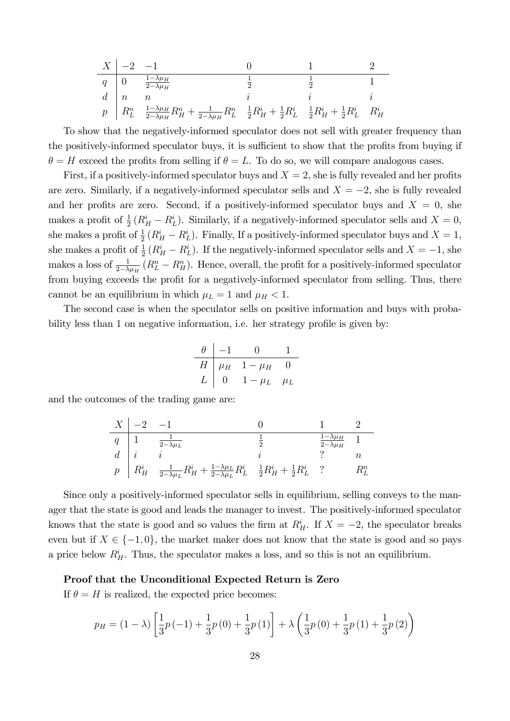$$
\begin{array}{c|cccc}\nX & -2 & -1 & 0 & 1 & 2 \\
\hline\nq & 0 & \frac{1-\lambda\mu_H}{2-\lambda\mu_H} & \frac{1}{2} & \frac{1}{2} & 1 \\
d & n & n & i & i \\
p & R_L^n & \frac{1-\lambda\mu_H}{2-\lambda\mu_H}R_H^n + \frac{1}{2-\lambda\mu_H}R_L^n & \frac{1}{2}R_H^i + \frac{1}{2}R_L^i & \frac{1}{2}R_H^i + \frac{1}{2}R_L^i & R_H^i\n\end{array}
$$

To show that the negatively-informed speculator does not sell with greater frequency than the positively-informed speculator buys, it is sufficient to show that the profits from buying if  $\theta = H$  exceed the profits from selling if  $\theta = L$ . To do so, we will compare analogous cases.

First, if a positively-informed speculator buys and  $X = 2$ , she is fully revealed and her profits are zero. Similarly, if a negatively-informed speculator sells and  $X = -2$ , she is fully revealed and her profits are zero. Second, if a positively-informed speculator buys and  $X = 0$ , she makes a profit of  $\frac{1}{2}(R_H^i - R_L^i)$ . Similarly, if a negatively-informed speculator sells and  $X = 0$ , she makes a profit of  $\frac{1}{2}(R_H^i - R_L^i)$ . Finally, If a positively-informed speculator buys and  $X = 1$ , she makes a profit of  $\frac{1}{2}(R_H^i - R_L^i)$ . If the negatively-informed speculator sells and  $X = -1$ , she makes a loss of  $\frac{1}{2-\lambda\mu_H}(R_L^n - R_H^n)$ . Hence, overall, the profit for a positively-informed speculator from buying exceeds the profit for a negatively-informed speculator from selling. Thus, there cannot be an equilibrium in which  $\mu_L = 1$  and  $\mu_H < 1$ .

The second case is when the speculator sells on positive information and buys with probability less than 1 on negative information, i.e. her strategy profile is given by:

$$
\begin{array}{c|cc}\n\theta & -1 & 0 & 1 \\
\hline\nH & \mu_H & 1 - \mu_H & 0 \\
L & 0 & 1 - \mu_L & \mu_L\n\end{array}
$$

and the outcomes of the trading game are:

$$
\begin{array}{c|cccc}\nX & -2 & -1 & 0 & 1 & 2 \\
\hline\nq & 1 & \frac{1}{2-\lambda\mu_L} & \frac{1}{2} & \frac{1-\lambda\mu_H}{2-\lambda\mu_H} & 1 \\
d & i & i & i & ? & n \\
p & R_H^i & \frac{1}{2-\lambda\mu_L}R_H^i + \frac{1-\lambda\mu_L}{2-\lambda\mu_L}R_L^i & \frac{1}{2}R_H^i + \frac{1}{2}R_L^i & ? & R_L^n\n\end{array}
$$

Since only a positively-informed speculator sells in equilibrium, selling conveys to the manager that the state is good and leads the manager to invest. The positively-informed speculator knows that the state is good and so values the firm at  $R_H^i$ . If  $X = -2$ , the speculator breaks even but if  $X \in \{-1, 0\}$ , the market maker does not know that the state is good and so pays a price below  $R_H^i$ . Thus, the speculator makes a loss, and so this is not an equilibrium.

#### Proof that the Unconditional Expected Return is Zero

If  $\theta = H$  is realized, the expected price becomes:

$$
p_H = (1 - \lambda) \left[ \frac{1}{3} p \left( -1 \right) + \frac{1}{3} p \left( 0 \right) + \frac{1}{3} p \left( 1 \right) \right] + \lambda \left( \frac{1}{3} p \left( 0 \right) + \frac{1}{3} p \left( 1 \right) + \frac{1}{3} p \left( 2 \right) \right)
$$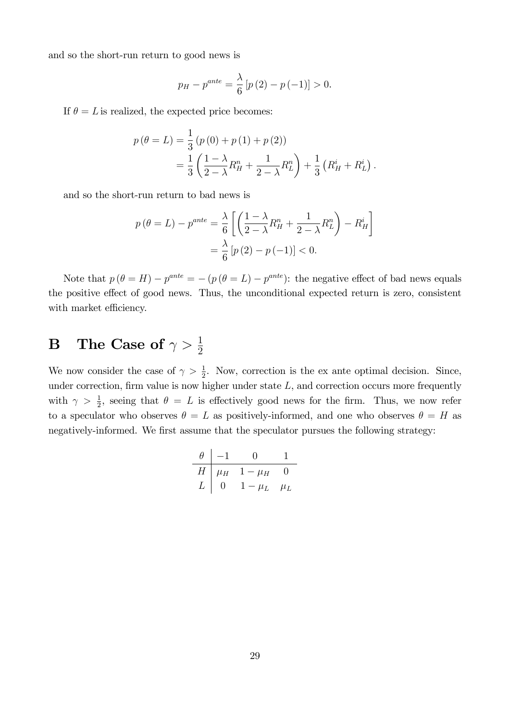and so the short-run return to good news is

$$
p_H - p^{ante} = \frac{\lambda}{6} [p(2) - p(-1)] > 0.
$$

If  $\theta = L$  is realized, the expected price becomes:

$$
p(\theta = L) = \frac{1}{3} (p(0) + p(1) + p(2))
$$
  
=  $\frac{1}{3} \left( \frac{1 - \lambda}{2 - \lambda} R_H^n + \frac{1}{2 - \lambda} R_L^n \right) + \frac{1}{3} (R_H^i + R_L^i).$ 

and so the short-run return to bad news is

$$
p(\theta = L) - p^{ante} = \frac{\lambda}{6} \left[ \left( \frac{1 - \lambda}{2 - \lambda} R_H^n + \frac{1}{2 - \lambda} R_L^n \right) - R_H^i \right]
$$

$$
= \frac{\lambda}{6} \left[ p(2) - p(-1) \right] < 0.
$$

Note that  $p(\theta = H) - p^{ante} = -(p(\theta = L) - p^{ante})$ : the negative effect of bad news equals the positive effect of good news. Thus, the unconditional expected return is zero, consistent with market efficiency.

# $\mathbf{B} \quad \mathbf{The \; Case \; of} \; \gamma > \frac{1}{2}$

We now consider the case of  $\gamma > \frac{1}{2}$ . Now, correction is the ex ante optimal decision. Since, under correction, firm value is now higher under state  $L$ , and correction occurs more frequently with  $\gamma > \frac{1}{2}$ , seeing that  $\theta = L$  is effectively good news for the firm. Thus, we now refer to a speculator who observes  $\theta = L$  as positively-informed, and one who observes  $\theta = H$  as negatively-informed. We first assume that the speculator pursues the following strategy:

$$
\begin{array}{c|cc}\n\theta & -1 & 0 & 1 \\
\hline\nH & \mu_H & 1 - \mu_H & 0 \\
L & 0 & 1 - \mu_L & \mu_L\n\end{array}
$$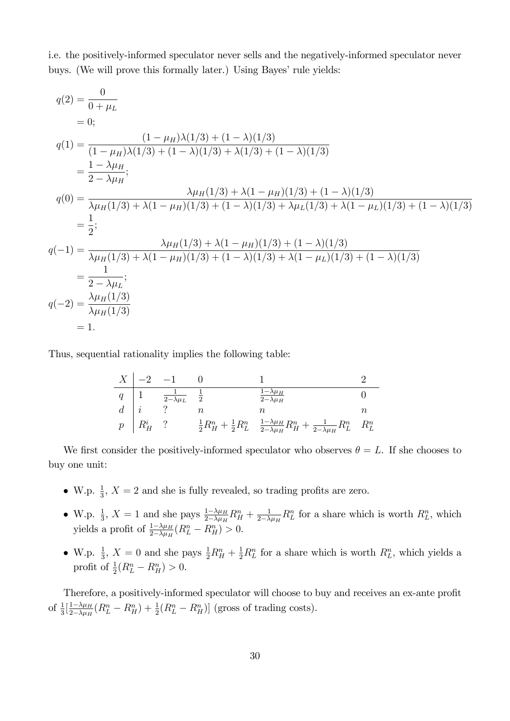i.e. the positively-informed speculator never sells and the negatively-informed speculator never buys. (We will prove this formally later.) Using Bayes' rule yields:

$$
q(2) = \frac{0}{0 + \mu_L}
$$
  
\n
$$
= 0;
$$
  
\n
$$
q(1) = \frac{(1 - \mu_H)\lambda(1/3) + (1 - \lambda)(1/3)}{(1 - \mu_H)\lambda(1/3) + (1 - \lambda)(1/3) + \lambda(1/3) + (1 - \lambda)(1/3)}
$$
  
\n
$$
= \frac{1 - \lambda\mu_H}{2 - \lambda\mu_H};
$$
  
\n
$$
q(0) = \frac{\lambda\mu_H(1/3) + \lambda(1 - \mu_H)(1/3) + (1 - \lambda)(1/3)}{\lambda\mu_H(1/3) + \lambda(1 - \mu_H)(1/3) + (1 - \lambda)(1/3) + \lambda\mu_L(1/3) + \lambda(1 - \mu_L)(1/3) + (1 - \lambda)(1/3)}
$$
  
\n
$$
= \frac{1}{2};
$$
  
\n
$$
q(-1) = \frac{\lambda\mu_H(1/3) + \lambda(1 - \mu_H)(1/3) + (1 - \lambda)(1/3)}{\lambda\mu_H(1/3) + \lambda(1 - \mu_H)(1/3) + (1 - \lambda)(1/3) + \lambda(1 - \mu_L)(1/3) + (1 - \lambda)(1/3)}
$$
  
\n
$$
= \frac{1}{2 - \lambda\mu_L};
$$
  
\n
$$
q(-2) = \frac{\lambda\mu_H(1/3)}{\lambda\mu_H(1/3)}
$$
  
\n
$$
= 1.
$$

Thus, sequential rationality implies the following table:

$$
\begin{array}{c|cccc}\nX & -2 & -1 & 0 & 1 & 2\\
\hline\nq & 1 & \frac{1}{2-\lambda\mu_L} & \frac{1}{2} & \frac{1-\lambda\mu_H}{2-\lambda\mu_H} & 0\\
d & i & ? & n & n\\
p & R_H^i & ? & \frac{1}{2}R_H^n + \frac{1}{2}R_L^n & \frac{1-\lambda\mu_H}{2-\lambda\mu_H}R_H^n + \frac{1}{2-\lambda\mu_H}R_L^n & R_L^n\n\end{array}
$$

We first consider the positively-informed speculator who observes  $\theta = L$ . If she chooses to buy one unit:

- W.p.  $\frac{1}{3}$ ,  $X = 2$  and she is fully revealed, so trading profits are zero.
- W.p.  $\frac{1}{3}$ ,  $X = 1$  and she pays  $\frac{1-\lambda\mu_H}{2-\lambda\mu_H}R_H^n + \frac{1}{2-\lambda}$  $\frac{1}{2-\lambda\mu_H}R_L^n$  for a share which is worth  $R_L^n$ , which yields a profit of  $\frac{1-\lambda\mu_H}{2-\lambda\mu_H}(R_L^n - R_H^n) > 0$ .
- W.p.  $\frac{1}{3}$ ,  $X = 0$  and she pays  $\frac{1}{2}R_H^n + \frac{1}{2}R_L^n$  for a share which is worth  $R_L^n$ , which yields a profit of  $\frac{1}{2}(R_L^n - R_H^n) > 0$ .

Therefore, a positively-informed speculator will choose to buy and receives an ex-ante profit of  $\frac{1}{3}$   $\left[\frac{1-\lambda\mu_H}{2-\lambda\mu_H}\right]$  $\frac{1-\lambda\mu_H}{2-\lambda\mu_H}(R_L^n - R_H^n) + \frac{1}{2}(R_L^n - R_H^n)]$  (gross of trading costs).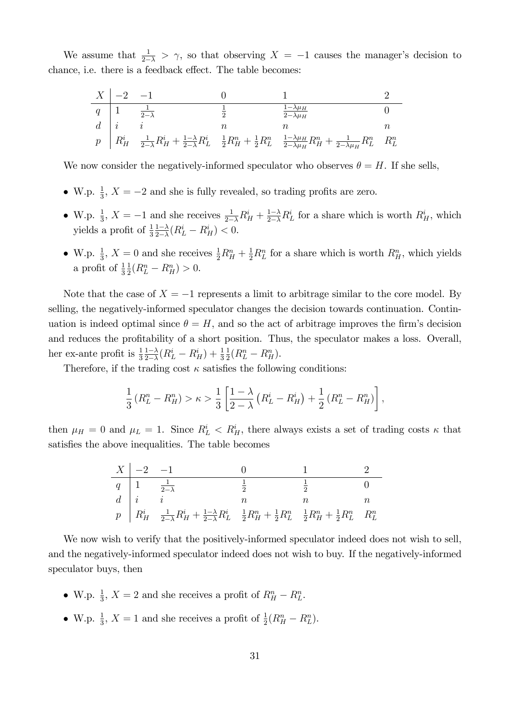We assume that  $\frac{1}{2-\lambda} > \gamma$ , so that observing  $X = -1$  causes the manager's decision to chance, i.e. there is a feedback effect. The table becomes:

$$
\begin{array}{c|cccc}\nX & -2 & -1 & 0 & 1 & 2\\
\hline\nq & 1 & \frac{1}{2-\lambda} & \frac{1}{2} & \frac{1-\lambda\mu_H}{2-\lambda\mu_H} & 0\\
d & i & i & n & n & n\\
p & R_H^i & \frac{1}{2-\lambda}R_H^i + \frac{1-\lambda}{2-\lambda}R_L^i & \frac{1}{2}R_H^n + \frac{1}{2}R_L^n & \frac{1-\lambda\mu_H}{2-\lambda\mu_H}R_H^n + \frac{1}{2-\lambda\mu_H}R_L^n & R_L^n\n\end{array}
$$

We now consider the negatively-informed speculator who observes  $\theta = H$ . If she sells,

- W.p.  $\frac{1}{3}$ ,  $X = -2$  and she is fully revealed, so trading profits are zero.
- W.p.  $\frac{1}{3}$ ,  $X = -1$  and she receives  $\frac{1}{2-\lambda}R_H^i + \frac{1-\lambda}{2-\lambda}R_L^i$  for a share which is worth  $R_H^i$ , which yields a profit of  $\frac{1}{3} \frac{1-\lambda}{2-\lambda}$  $\frac{1-\lambda}{2-\lambda}(R_L^i - R_H^i) < 0.$
- W.p.  $\frac{1}{3}$ ,  $X = 0$  and she receives  $\frac{1}{2}R_H^n + \frac{1}{2}R_L^n$  for a share which is worth  $R_H^n$ , which yields a profit of  $\frac{1}{3}$ 1  $\frac{1}{2}(R_L^n - R_H^n) > 0.$

Note that the case of  $X = -1$  represents a limit to arbitrage similar to the core model. By selling, the negatively-informed speculator changes the decision towards continuation. Continuation is indeed optimal since  $\theta = H$ , and so the act of arbitrage improves the firm's decision and reduces the profitability of a short position. Thus, the speculator makes a loss. Overall, her ex-ante profit is  $\frac{1}{3} \frac{1-\lambda}{2-\lambda}$  $\frac{1-\lambda}{2-\lambda}(R_L^i - R_H^i) + \frac{1}{3}$ 1  $\frac{1}{2}(R_L^n - R_H^n).$ 

Therefore, if the trading cost  $\kappa$  satisfies the following conditions:

$$
\frac{1}{3}\left(R_L^n - R_H^n\right) > \kappa > \frac{1}{3} \left[\frac{1-\lambda}{2-\lambda}\left(R_L^i - R_H^i\right) + \frac{1}{2}\left(R_L^n - R_H^n\right)\right],
$$

then  $\mu_H = 0$  and  $\mu_L = 1$ . Since  $R_L^i < R_H^i$ , there always exists a set of trading costs  $\kappa$  that satisfies the above inequalities. The table becomes

| $X \mid -2 \quad -1$ |                                                                                                                                                                                                                                                                                                                                                                                       |  |  |
|----------------------|---------------------------------------------------------------------------------------------------------------------------------------------------------------------------------------------------------------------------------------------------------------------------------------------------------------------------------------------------------------------------------------|--|--|
|                      |                                                                                                                                                                                                                                                                                                                                                                                       |  |  |
|                      |                                                                                                                                                                                                                                                                                                                                                                                       |  |  |
|                      | $\begin{tabular}{ c c c c c } \hline $q$ & $1$ & $\frac{1}{2-\lambda}$ & $\frac{1}{2}$ & $\frac{1}{2}$ & $0$ \\ $d$ & $i$ & $i$ & $n$ & $n$ & $n$ & $n$ \\ $p$ & $R_{H}^{i}$ & $\frac{1}{2-\lambda}R_{H}^{i}+\frac{1-\lambda}{2-\lambda}R_{L}^{i}$ & $\frac{1}{2}R_{H}^{n}+\frac{1}{2}R_{L}^{n}$ & $\frac{1}{2}R_{H}^{n}+\frac{1}{2}R_{L}^{n}$ & $R_{L}^{n}$ \\ \hline \end{tabular}$ |  |  |

We now wish to verify that the positively-informed speculator indeed does not wish to sell, and the negatively-informed speculator indeed does not wish to buy. If the negatively-informed speculator buys, then

- W.p.  $\frac{1}{3}$ ,  $X = 2$  and she receives a profit of  $R_H^n R_L^n$ .
- W.p.  $\frac{1}{3}$ ,  $X = 1$  and she receives a profit of  $\frac{1}{2}(R_H^n R_L^n)$ .